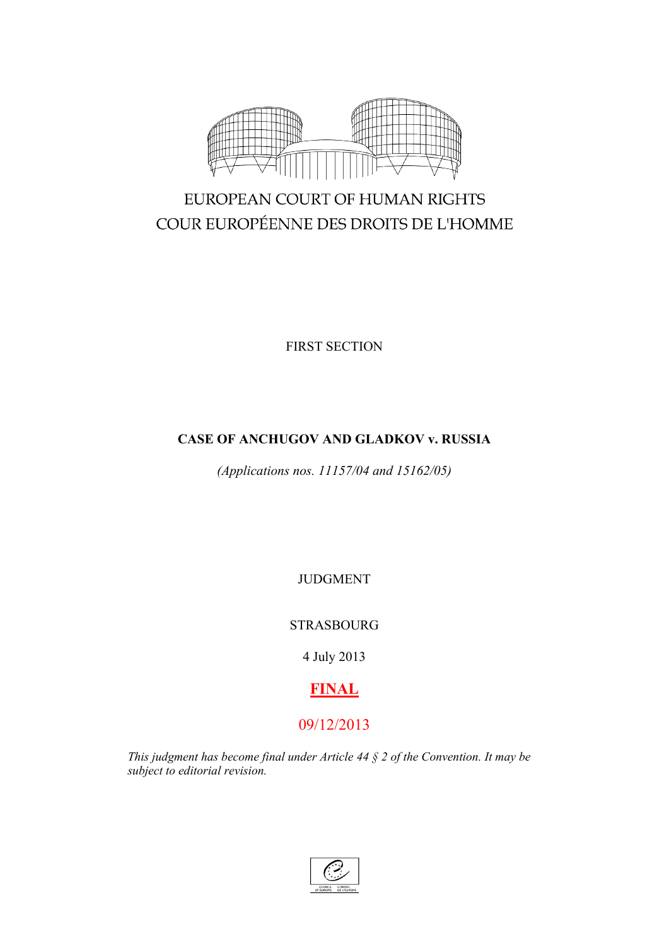

# EUROPEAN COURT OF HUMAN RIGHTS COUR EUROPÉENNE DES DROITS DE L'HOMME

FIRST SECTION

# **CASE OF ANCHUGOV AND GLADKOV v. RUSSIA**

*(Applications nos. 11157/04 and 15162/05)*

JUDGMENT

STRASBOURG

4 July 2013

# **FINAL**

# 09/12/2013

*This judgment has become final under Article 44 § 2 of the Convention. It may be subject to editorial revision.*

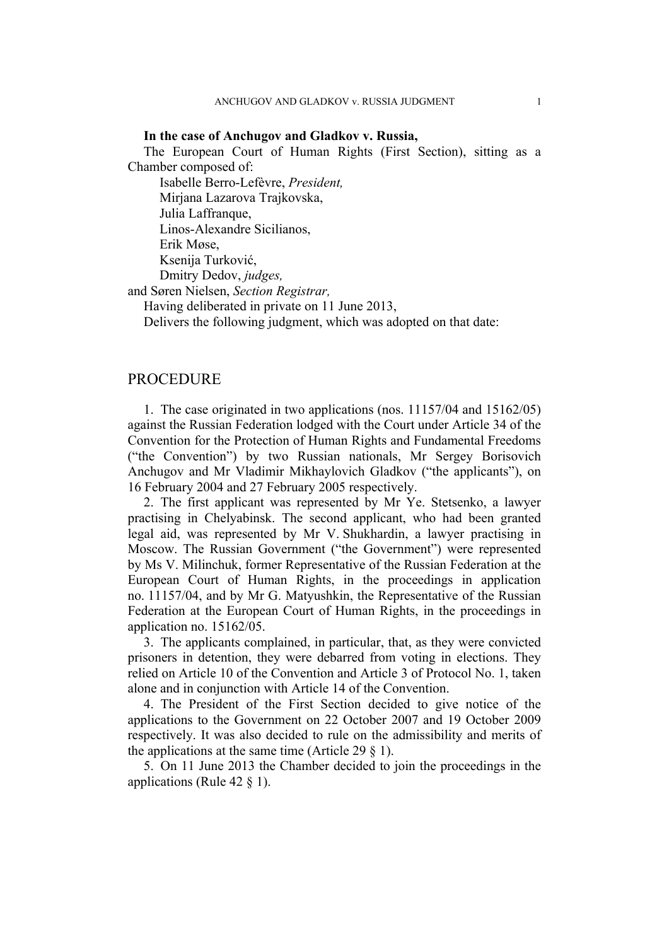#### **In the case of Anchugov and Gladkov v. Russia,**

The European Court of Human Rights (First Section), sitting as a Chamber composed of:

Isabelle Berro-Lefèvre, *President,* Mirjana Lazarova Trajkovska, Julia Laffranque,

Linos-Alexandre Sicilianos,

Erik Møse,

Ksenija Turković,

Dmitry Dedov, *judges,*

and Søren Nielsen, *Section Registrar,*

Having deliberated in private on 11 June 2013,

Delivers the following judgment, which was adopted on that date:

# **PROCEDURE**

1. The case originated in two applications (nos. 11157/04 and 15162/05) against the Russian Federation lodged with the Court under Article 34 of the Convention for the Protection of Human Rights and Fundamental Freedoms ("the Convention") by two Russian nationals, Mr Sergey Borisovich Anchugov and Mr Vladimir Mikhaylovich Gladkov ("the applicants"), on 16 February 2004 and 27 February 2005 respectively.

2. The first applicant was represented by Mr Ye. Stetsenko, a lawyer practising in Chelyabinsk. The second applicant, who had been granted legal aid, was represented by Mr V. Shukhardin, a lawyer practising in Moscow. The Russian Government ("the Government") were represented by Ms V. Milinchuk, former Representative of the Russian Federation at the European Court of Human Rights, in the proceedings in application no. 11157/04, and by Mr G. Matyushkin, the Representative of the Russian Federation at the European Court of Human Rights, in the proceedings in application no. 15162/05.

3. The applicants complained, in particular, that, as they were convicted prisoners in detention, they were debarred from voting in elections. They relied on Article 10 of the Convention and Article 3 of Protocol No. 1, taken alone and in conjunction with Article 14 of the Convention.

4. The President of the First Section decided to give notice of the applications to the Government on 22 October 2007 and 19 October 2009 respectively. It was also decided to rule on the admissibility and merits of the applications at the same time (Article 29  $\S$  1).

5. On 11 June 2013 the Chamber decided to join the proceedings in the applications (Rule 42 § 1).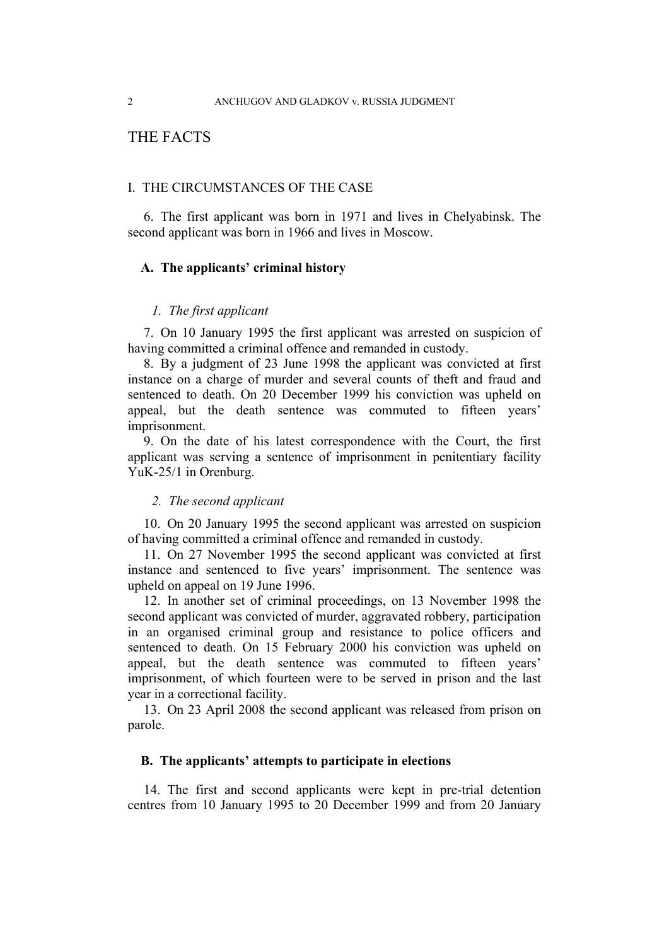# THE FACTS

#### I. THE CIRCUMSTANCES OF THE CASE

6. The first applicant was born in 1971 and lives in Chelyabinsk. The second applicant was born in 1966 and lives in Moscow.

#### **A. The applicants' criminal history**

## *1. The first applicant*

7. On 10 January 1995 the first applicant was arrested on suspicion of having committed a criminal offence and remanded in custody.

8. By a judgment of 23 June 1998 the applicant was convicted at first instance on a charge of murder and several counts of theft and fraud and sentenced to death. On 20 December 1999 his conviction was upheld on appeal, but the death sentence was commuted to fifteen years' imprisonment.

9. On the date of his latest correspondence with the Court, the first applicant was serving a sentence of imprisonment in penitentiary facility YuK-25/1 in Orenburg.

#### *2. The second applicant*

10. On 20 January 1995 the second applicant was arrested on suspicion of having committed a criminal offence and remanded in custody.

11. On 27 November 1995 the second applicant was convicted at first instance and sentenced to five years' imprisonment. The sentence was upheld on appeal on 19 June 1996.

12. In another set of criminal proceedings, on 13 November 1998 the second applicant was convicted of murder, aggravated robbery, participation in an organised criminal group and resistance to police officers and sentenced to death. On 15 February 2000 his conviction was upheld on appeal, but the death sentence was commuted to fifteen years' imprisonment, of which fourteen were to be served in prison and the last year in a correctional facility.

<span id="page-3-0"></span>13. On 23 April 2008 the second applicant was released from prison on parole.

#### **B. The applicants' attempts to participate in elections**

14. The first and second applicants were kept in pre-trial detention centres from 10 January 1995 to 20 December 1999 and from 20 January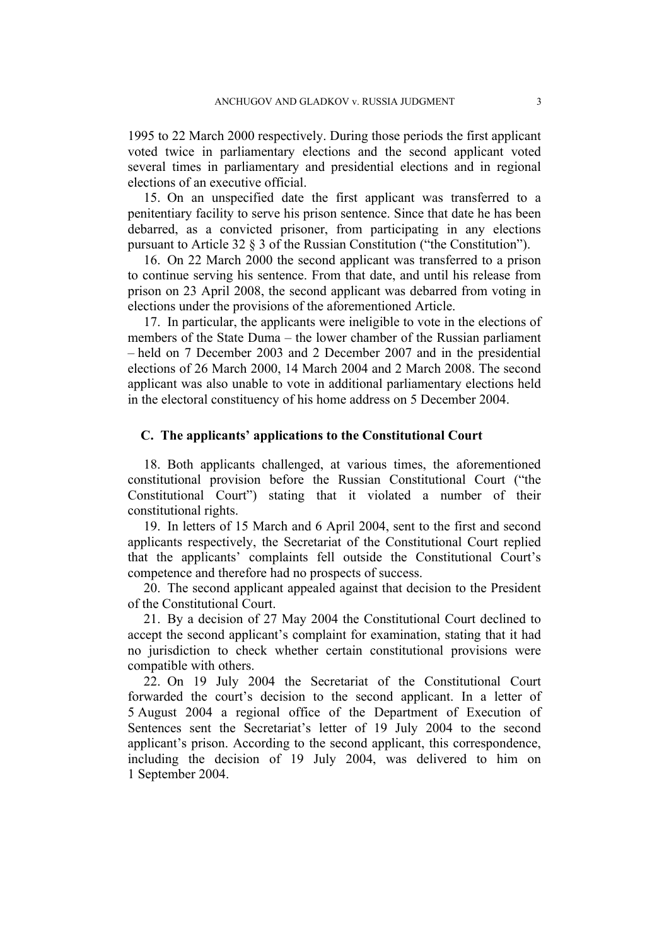1995 to 22 March 2000 respectively. During those periods the first applicant voted twice in parliamentary elections and the second applicant voted several times in parliamentary and presidential elections and in regional elections of an executive official.

15. On an unspecified date the first applicant was transferred to a penitentiary facility to serve his prison sentence. Since that date he has been debarred, as a convicted prisoner, from participating in any elections pursuant to Article 32 § 3 of the Russian Constitution ("the Constitution").

16. On 22 March 2000 the second applicant was transferred to a prison to continue serving his sentence. From that date, and until his release from prison on 23 April 2008, the second applicant was debarred from voting in elections under the provisions of the aforementioned Article.

<span id="page-4-0"></span>17. In particular, the applicants were ineligible to vote in the elections of members of the State Duma – the lower chamber of the Russian parliament – held on 7 December 2003 and 2 December 2007 and in the presidential elections of 26 March 2000, 14 March 2004 and 2 March 2008. The second applicant was also unable to vote in additional parliamentary elections held in the electoral constituency of his home address on 5 December 2004.

#### **C. The applicants' applications to the Constitutional Court**

18. Both applicants challenged, at various times, the aforementioned constitutional provision before the Russian Constitutional Court ("the Constitutional Court") stating that it violated a number of their constitutional rights.

19. In letters of 15 March and 6 April 2004, sent to the first and second applicants respectively, the Secretariat of the Constitutional Court replied that the applicants' complaints fell outside the Constitutional Court's competence and therefore had no prospects of success.

20. The second applicant appealed against that decision to the President of the Constitutional Court.

21. By a decision of 27 May 2004 the Constitutional Court declined to accept the second applicant's complaint for examination, stating that it had no jurisdiction to check whether certain constitutional provisions were compatible with others.

22. On 19 July 2004 the Secretariat of the Constitutional Court forwarded the court's decision to the second applicant. In a letter of 5 August 2004 a regional office of the Department of Execution of Sentences sent the Secretariat's letter of 19 July 2004 to the second applicant's prison. According to the second applicant, this correspondence, including the decision of 19 July 2004, was delivered to him on 1 September 2004.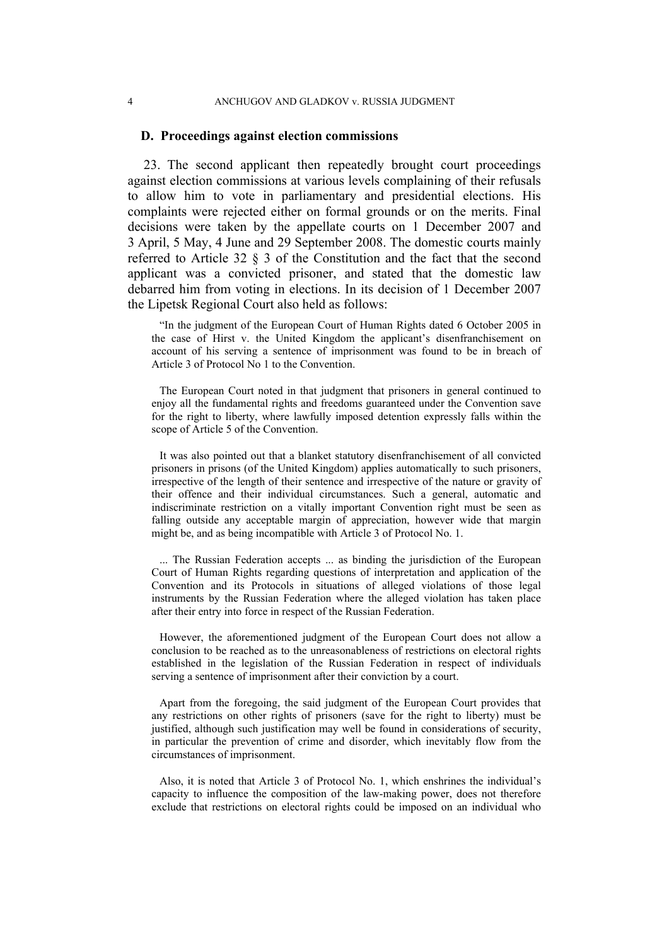#### 4 ANCHUGOV AND GLADKOV v. RUSSIA JUDGMENT

#### **D. Proceedings against election commissions**

<span id="page-5-0"></span>23. The second applicant then repeatedly brought court proceedings against election commissions at various levels complaining of their refusals to allow him to vote in parliamentary and presidential elections. His complaints were rejected either on formal grounds or on the merits. Final decisions were taken by the appellate courts on 1 December 2007 and 3 April, 5 May, 4 June and 29 September 2008. The domestic courts mainly referred to Article 32 § 3 of the Constitution and the fact that the second applicant was a convicted prisoner, and stated that the domestic law debarred him from voting in elections. In its decision of 1 December 2007 the Lipetsk Regional Court also held as follows:

"In the judgment of the European Court of Human Rights dated 6 October 2005 in the case of Hirst v. the United Kingdom the applicant's disenfranchisement on account of his serving a sentence of imprisonment was found to be in breach of Article 3 of Protocol No 1 to the Convention.

The European Court noted in that judgment that prisoners in general continued to enjoy all the fundamental rights and freedoms guaranteed under the Convention save for the right to liberty, where lawfully imposed detention expressly falls within the scope of Article 5 of the Convention.

It was also pointed out that a blanket statutory disenfranchisement of all convicted prisoners in prisons (of the United Kingdom) applies automatically to such prisoners, irrespective of the length of their sentence and irrespective of the nature or gravity of their offence and their individual circumstances. Such a general, automatic and indiscriminate restriction on a vitally important Convention right must be seen as falling outside any acceptable margin of appreciation, however wide that margin might be, and as being incompatible with Article 3 of Protocol No. 1.

... The Russian Federation accepts ... as binding the jurisdiction of the European Court of Human Rights regarding questions of interpretation and application of the Convention and its Protocols in situations of alleged violations of those legal instruments by the Russian Federation where the alleged violation has taken place after their entry into force in respect of the Russian Federation.

However, the aforementioned judgment of the European Court does not allow a conclusion to be reached as to the unreasonableness of restrictions on electoral rights established in the legislation of the Russian Federation in respect of individuals serving a sentence of imprisonment after their conviction by a court.

Apart from the foregoing, the said judgment of the European Court provides that any restrictions on other rights of prisoners (save for the right to liberty) must be justified, although such justification may well be found in considerations of security, in particular the prevention of crime and disorder, which inevitably flow from the circumstances of imprisonment.

Also, it is noted that Article 3 of Protocol No. 1, which enshrines the individual's capacity to influence the composition of the law-making power, does not therefore exclude that restrictions on electoral rights could be imposed on an individual who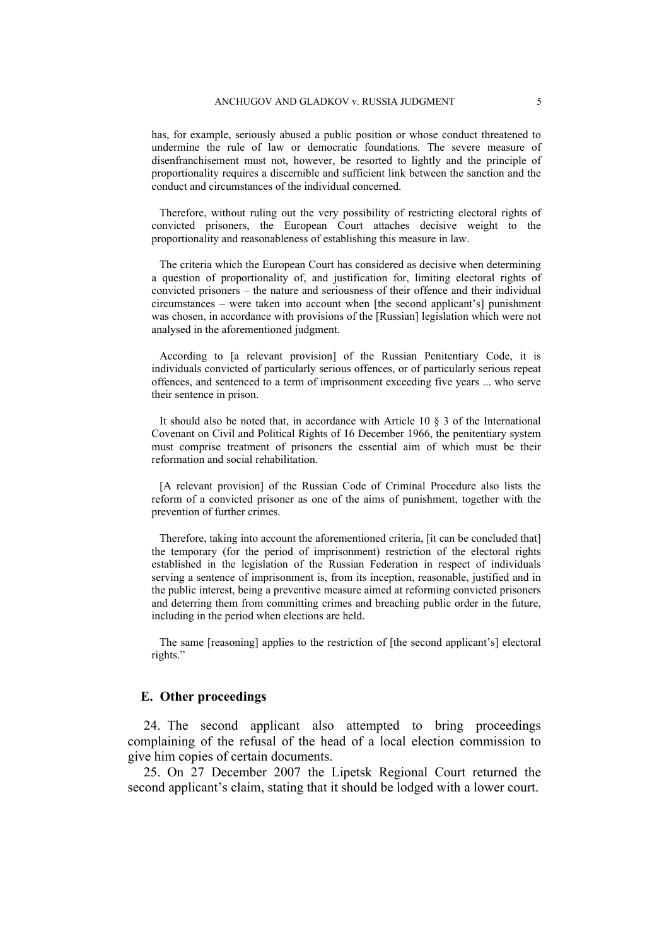has, for example, seriously abused a public position or whose conduct threatened to undermine the rule of law or democratic foundations. The severe measure of disenfranchisement must not, however, be resorted to lightly and the principle of proportionality requires a discernible and sufficient link between the sanction and the conduct and circumstances of the individual concerned.

Therefore, without ruling out the very possibility of restricting electoral rights of convicted prisoners, the European Court attaches decisive weight to the proportionality and reasonableness of establishing this measure in law.

The criteria which the European Court has considered as decisive when determining a question of proportionality of, and justification for, limiting electoral rights of convicted prisoners – the nature and seriousness of their offence and their individual circumstances – were taken into account when [the second applicant's] punishment was chosen, in accordance with provisions of the [Russian] legislation which were not analysed in the aforementioned judgment.

According to [a relevant provision] of the Russian Penitentiary Code, it is individuals convicted of particularly serious offences, or of particularly serious repeat offences, and sentenced to a term of imprisonment exceeding five years ... who serve their sentence in prison.

It should also be noted that, in accordance with Article 10 § 3 of the International Covenant on Civil and Political Rights of 16 December 1966, the penitentiary system must comprise treatment of prisoners the essential aim of which must be their reformation and social rehabilitation.

[A relevant provision] of the Russian Code of Criminal Procedure also lists the reform of a convicted prisoner as one of the aims of punishment, together with the prevention of further crimes.

Therefore, taking into account the aforementioned criteria, [it can be concluded that] the temporary (for the period of imprisonment) restriction of the electoral rights established in the legislation of the Russian Federation in respect of individuals serving a sentence of imprisonment is, from its inception, reasonable, justified and in the public interest, being a preventive measure aimed at reforming convicted prisoners and deterring them from committing crimes and breaching public order in the future, including in the period when elections are held.

The same [reasoning] applies to the restriction of [the second applicant's] electoral rights."

## **E. Other proceedings**

24. The second applicant also attempted to bring proceedings complaining of the refusal of the head of a local election commission to give him copies of certain documents.

25. On 27 December 2007 the Lipetsk Regional Court returned the second applicant's claim, stating that it should be lodged with a lower court.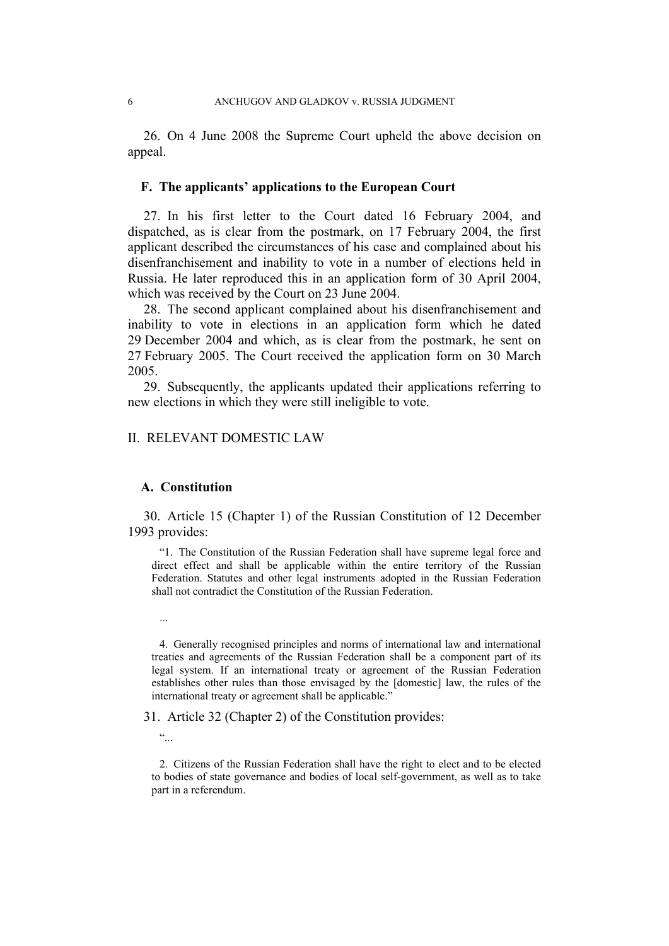26. On 4 June 2008 the Supreme Court upheld the above decision on appeal.

#### **F. The applicants' applications to the European Court**

27. In his first letter to the Court dated 16 February 2004, and dispatched, as is clear from the postmark, on 17 February 2004, the first applicant described the circumstances of his case and complained about his disenfranchisement and inability to vote in a number of elections held in Russia. He later reproduced this in an application form of 30 April 2004, which was received by the Court on 23 June 2004.

28. The second applicant complained about his disenfranchisement and inability to vote in elections in an application form which he dated 29 December 2004 and which, as is clear from the postmark, he sent on 27 February 2005. The Court received the application form on 30 March 2005.

29. Subsequently, the applicants updated their applications referring to new elections in which they were still ineligible to vote.

### II. RELEVANT DOMESTIC LAW

# **A. Constitution**

30. Article 15 (Chapter 1) of the Russian Constitution of 12 December 1993 provides:

"1. The Constitution of the Russian Federation shall have supreme legal force and direct effect and shall be applicable within the entire territory of the Russian Federation. Statutes and other legal instruments adopted in the Russian Federation shall not contradict the Constitution of the Russian Federation.

4. Generally recognised principles and norms of international law and international treaties and agreements of the Russian Federation shall be a component part of its legal system. If an international treaty or agreement of the Russian Federation establishes other rules than those envisaged by the [domestic] law, the rules of the international treaty or agreement shall be applicable."

31. Article 32 (Chapter 2) of the Constitution provides:

 $\ddot{\cdot}$ 

...

2. Citizens of the Russian Federation shall have the right to elect and to be elected to bodies of state governance and bodies of local self-government, as well as to take part in a referendum.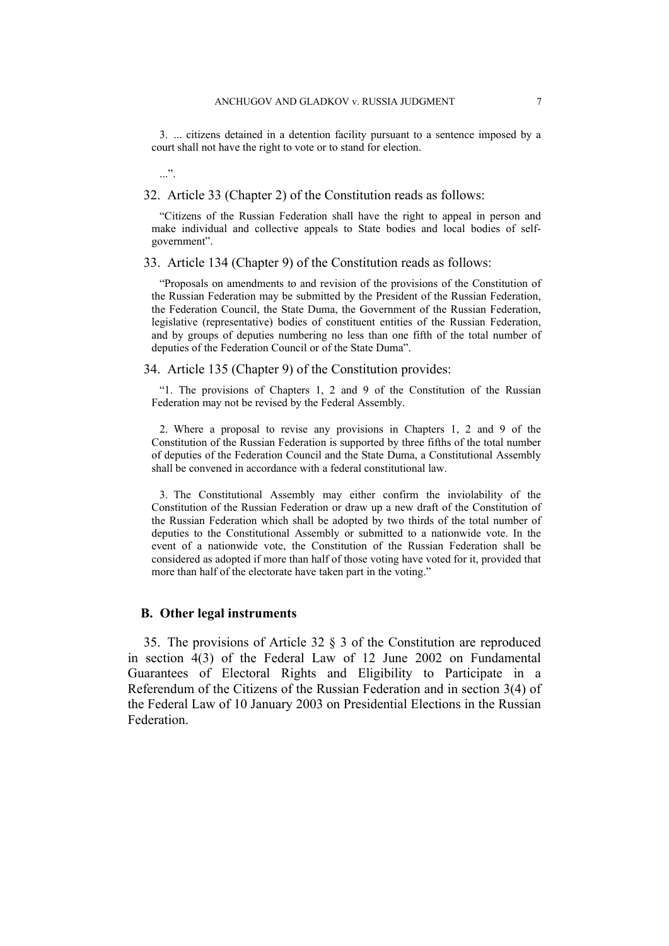3. ... citizens detained in a detention facility pursuant to a sentence imposed by a court shall not have the right to vote or to stand for election.

<span id="page-8-0"></span>32. Article 33 (Chapter 2) of the Constitution reads as follows:

"Citizens of the Russian Federation shall have the right to appeal in person and make individual and collective appeals to State bodies and local bodies of selfgovernment".

<span id="page-8-1"></span>33. Article 134 (Chapter 9) of the Constitution reads as follows:

"Proposals on amendments to and revision of the provisions of the Constitution of the Russian Federation may be submitted by the President of the Russian Federation, the Federation Council, the State Duma, the Government of the Russian Federation, legislative (representative) bodies of constituent entities of the Russian Federation, and by groups of deputies numbering no less than one fifth of the total number of deputies of the Federation Council or of the State Duma".

<span id="page-8-2"></span>34. Article 135 (Chapter 9) of the Constitution provides:

"1. The provisions of Chapters 1, 2 and 9 of the Constitution of the Russian Federation may not be revised by the Federal Assembly.

2. Where a proposal to revise any provisions in Chapters 1, 2 and 9 of the Constitution of the Russian Federation is supported by three fifths of the total number of deputies of the Federation Council and the State Duma, a Constitutional Assembly shall be convened in accordance with a federal constitutional law.

3. The Constitutional Assembly may either confirm the inviolability of the Constitution of the Russian Federation or draw up a new draft of the Constitution of the Russian Federation which shall be adopted by two thirds of the total number of deputies to the Constitutional Assembly or submitted to a nationwide vote. In the event of a nationwide vote, the Constitution of the Russian Federation shall be considered as adopted if more than half of those voting have voted for it, provided that more than half of the electorate have taken part in the voting."

#### **B. Other legal instruments**

 $\cdot$ ...".

35. The provisions of Article 32 § 3 of the Constitution are reproduced in section 4(3) of the Federal Law of 12 June 2002 on Fundamental Guarantees of Electoral Rights and Eligibility to Participate in a Referendum of the Citizens of the Russian Federation and in section 3(4) of the Federal Law of 10 January 2003 on Presidential Elections in the Russian Federation.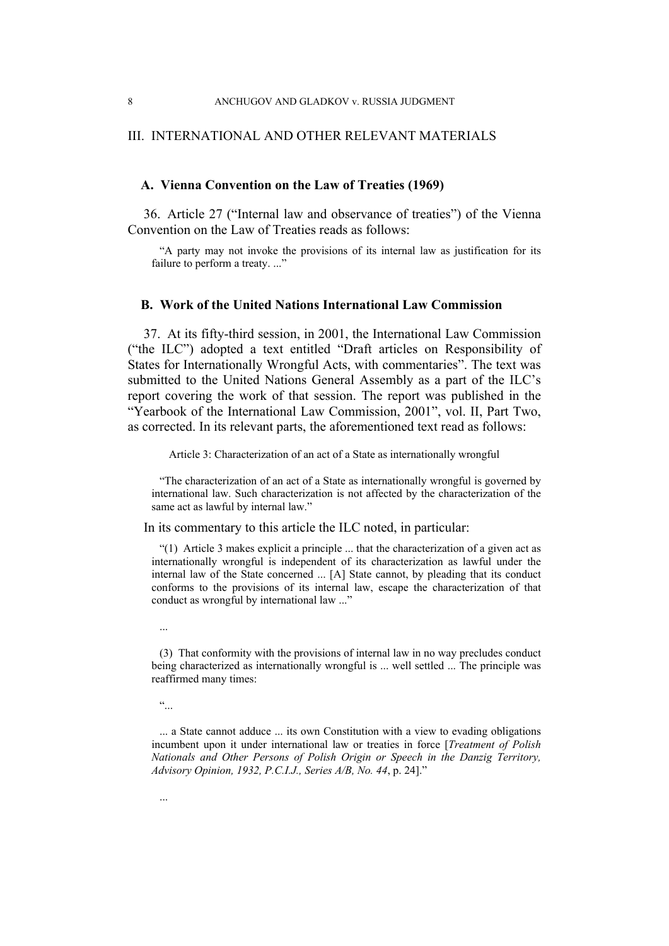## III. INTERNATIONAL AND OTHER RELEVANT MATERIALS

#### **A. Vienna Convention on the Law of Treaties (1969)**

<span id="page-9-0"></span>36. Article 27 ("Internal law and observance of treaties") of the Vienna Convention on the Law of Treaties reads as follows:

"A party may not invoke the provisions of its internal law as justification for its failure to perform a treaty. ..."

# **B. Work of the United Nations International Law Commission**

37. At its fifty-third session, in 2001, the International Law Commission ("the ILC") adopted a text entitled "Draft articles on Responsibility of States for Internationally Wrongful Acts, with commentaries". The text was submitted to the United Nations General Assembly as a part of the ILC's report covering the work of that session. The report was published in the "Yearbook of the International Law Commission, 2001", vol. II, Part Two, as corrected. In its relevant parts, the aforementioned text read as follows:

Article 3: Characterization of an act of a State as internationally wrongful

"The characterization of an act of a State as internationally wrongful is governed by international law. Such characterization is not affected by the characterization of the same act as lawful by internal law."

In its commentary to this article the ILC noted, in particular:

"(1) Article 3 makes explicit a principle ... that the characterization of a given act as internationally wrongful is independent of its characterization as lawful under the internal law of the State concerned ... [A] State cannot, by pleading that its conduct conforms to the provisions of its internal law, escape the characterization of that conduct as wrongful by international law ..."

 $\ddot{\cdot}$  ...

...

<sup>(3)</sup> That conformity with the provisions of internal law in no way precludes conduct being characterized as internationally wrongful is ... well settled ... The principle was reaffirmed many times:

<sup>...</sup> a State cannot adduce ... its own Constitution with a view to evading obligations incumbent upon it under international law or treaties in force [*Treatment of Polish Nationals and Other Persons of Polish Origin or Speech in the Danzig Territory, Advisory Opinion, 1932, P.C.I.J., Series A/B, No. 44*, p. 24]."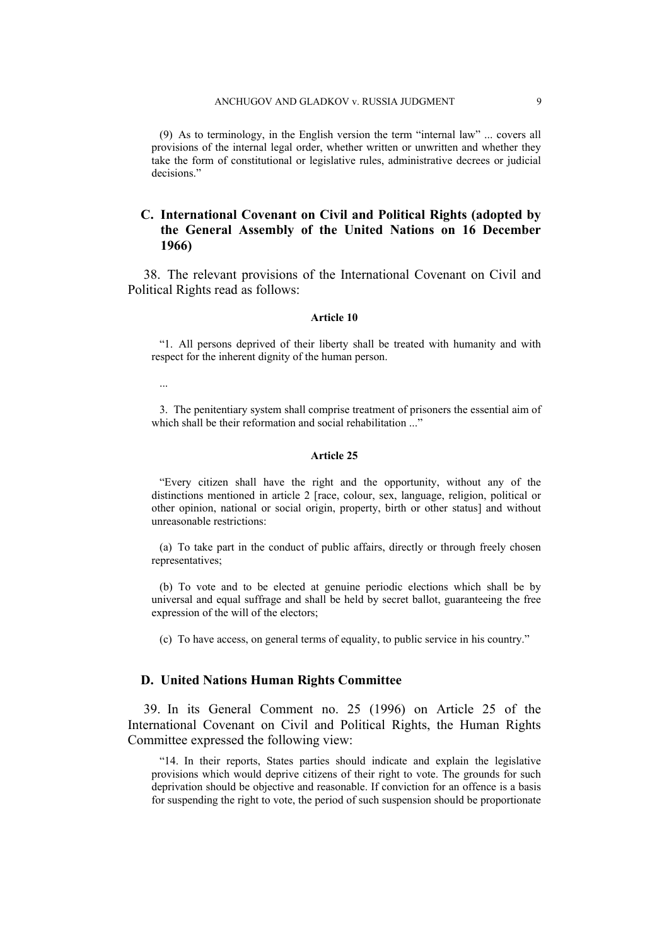(9) As to terminology, in the English version the term "internal law" ... covers all provisions of the internal legal order, whether written or unwritten and whether they take the form of constitutional or legislative rules, administrative decrees or judicial decisions."

# **C. International Covenant on Civil and Political Rights (adopted by the General Assembly of the United Nations on 16 December 1966)**

<span id="page-10-0"></span>38. The relevant provisions of the International Covenant on Civil and Political Rights read as follows:

#### **Article 10**

"1. All persons deprived of their liberty shall be treated with humanity and with respect for the inherent dignity of the human person.

...

3. The penitentiary system shall comprise treatment of prisoners the essential aim of which shall be their reformation and social rehabilitation ..."

#### **Article 25**

"Every citizen shall have the right and the opportunity, without any of the distinctions mentioned in article 2 [race, colour, sex, language, religion, political or other opinion, national or social origin, property, birth or other status] and without unreasonable restrictions:

(a) To take part in the conduct of public affairs, directly or through freely chosen representatives;

(b) To vote and to be elected at genuine periodic elections which shall be by universal and equal suffrage and shall be held by secret ballot, guaranteeing the free expression of the will of the electors;

(c) To have access, on general terms of equality, to public service in his country."

#### **D. United Nations Human Rights Committee**

39. In its General Comment no. 25 (1996) on Article 25 of the International Covenant on Civil and Political Rights, the Human Rights Committee expressed the following view:

"14. In their reports, States parties should indicate and explain the legislative provisions which would deprive citizens of their right to vote. The grounds for such deprivation should be objective and reasonable. If conviction for an offence is a basis for suspending the right to vote, the period of such suspension should be proportionate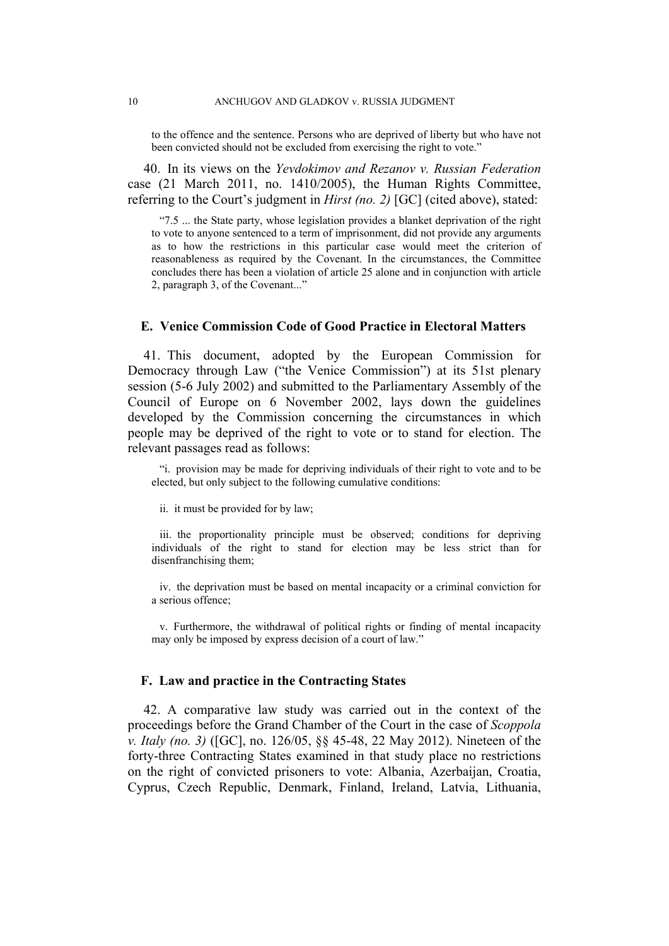to the offence and the sentence. Persons who are deprived of liberty but who have not been convicted should not be excluded from exercising the right to vote."

40. In its views on the *Yevdokimov and Rezanov v. Russian Federation* case (21 March 2011, no. 1410/2005), the Human Rights Committee, referring to the Court's judgment in *Hirst (no. 2)* [GC] (cited above), stated:

"7.5 ... the State party, whose legislation provides a blanket deprivation of the right to vote to anyone sentenced to a term of imprisonment, did not provide any arguments as to how the restrictions in this particular case would meet the criterion of reasonableness as required by the Covenant. In the circumstances, the Committee concludes there has been a violation of article 25 alone and in conjunction with article 2, paragraph 3, of the Covenant..."

# **E. Venice Commission Code of Good Practice in Electoral Matters**

41. This document, adopted by the European Commission for Democracy through Law ("the Venice Commission") at its 51st plenary session (5-6 July 2002) and submitted to the Parliamentary Assembly of the Council of Europe on 6 November 2002, lays down the guidelines developed by the Commission concerning the circumstances in which people may be deprived of the right to vote or to stand for election. The relevant passages read as follows:

"i. provision may be made for depriving individuals of their right to vote and to be elected, but only subject to the following cumulative conditions:

ii. it must be provided for by law;

iii. the proportionality principle must be observed; conditions for depriving individuals of the right to stand for election may be less strict than for disenfranchising them;

iv. the deprivation must be based on mental incapacity or a criminal conviction for a serious offence;

v. Furthermore, the withdrawal of political rights or finding of mental incapacity may only be imposed by express decision of a court of law."

#### **F. Law and practice in the Contracting States**

42. A comparative law study was carried out in the context of the proceedings before the Grand Chamber of the Court in the case of *Scoppola v. Italy (no. 3)* ([GC], no. 126/05, §§ 45-48, 22 May 2012). Nineteen of the forty-three Contracting States examined in that study place no restrictions on the right of convicted prisoners to vote: Albania, Azerbaijan, Croatia, Cyprus, Czech Republic, Denmark, Finland, Ireland, Latvia, Lithuania,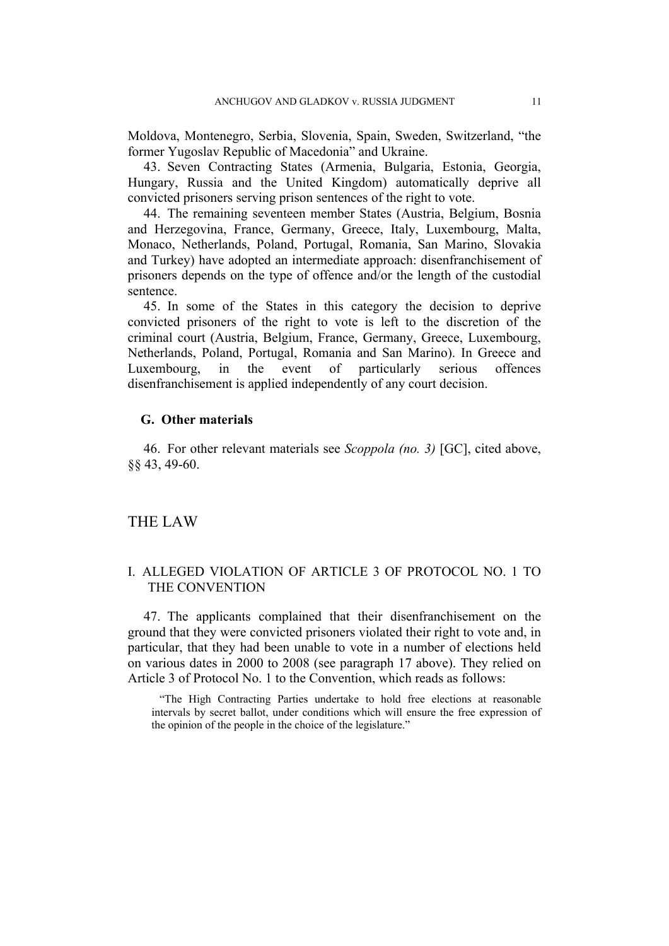Moldova, Montenegro, Serbia, Slovenia, Spain, Sweden, Switzerland, "the former Yugoslav Republic of Macedonia" and Ukraine.

43. Seven Contracting States (Armenia, Bulgaria, Estonia, Georgia, Hungary, Russia and the United Kingdom) automatically deprive all convicted prisoners serving prison sentences of the right to vote.

44. The remaining seventeen member States (Austria, Belgium, Bosnia and Herzegovina, France, Germany, Greece, Italy, Luxembourg, Malta, Monaco, Netherlands, Poland, Portugal, Romania, San Marino, Slovakia and Turkey) have adopted an intermediate approach: disenfranchisement of prisoners depends on the type of offence and/or the length of the custodial sentence.

45. In some of the States in this category the decision to deprive convicted prisoners of the right to vote is left to the discretion of the criminal court (Austria, Belgium, France, Germany, Greece, Luxembourg, Netherlands, Poland, Portugal, Romania and San Marino). In Greece and Luxembourg, in the event of particularly serious offences disenfranchisement is applied independently of any court decision.

## **G. Other materials**

46. For other relevant materials see *Scoppola (no. 3)* [GC], cited above, §§ 43, 49-60.

#### THE LAW

# I. ALLEGED VIOLATION OF ARTICLE 3 OF PROTOCOL NO. 1 TO THE CONVENTION

47. The applicants complained that their disenfranchisement on the ground that they were convicted prisoners violated their right to vote and, in particular, that they had been unable to vote in a number of elections held on various dates in 2000 to 2008 (see paragraph [17](#page-4-0) above). They relied on Article 3 of Protocol No. 1 to the Convention, which reads as follows:

"The High Contracting Parties undertake to hold free elections at reasonable intervals by secret ballot, under conditions which will ensure the free expression of the opinion of the people in the choice of the legislature."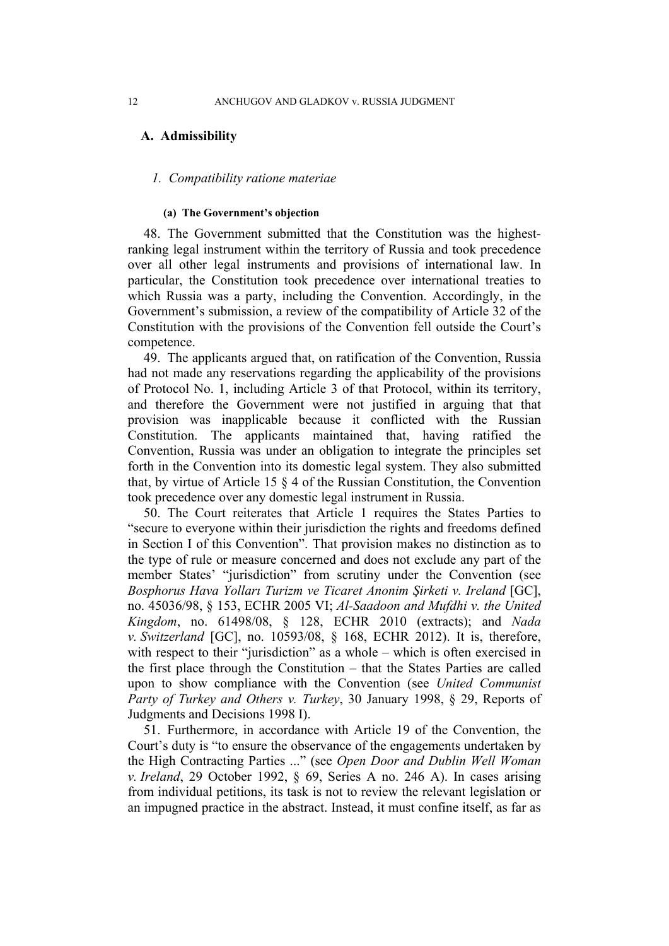#### **A. Admissibility**

#### *1. Compatibility ratione materiae*

#### **(a) The Government's objection**

48. The Government submitted that the Constitution was the highestranking legal instrument within the territory of Russia and took precedence over all other legal instruments and provisions of international law. In particular, the Constitution took precedence over international treaties to which Russia was a party, including the Convention. Accordingly, in the Government's submission, a review of the compatibility of Article 32 of the Constitution with the provisions of the Convention fell outside the Court's competence.

49. The applicants argued that, on ratification of the Convention, Russia had not made any reservations regarding the applicability of the provisions of Protocol No. 1, including Article 3 of that Protocol, within its territory, and therefore the Government were not justified in arguing that that provision was inapplicable because it conflicted with the Russian Constitution. The applicants maintained that, having ratified the Convention, Russia was under an obligation to integrate the principles set forth in the Convention into its domestic legal system. They also submitted that, by virtue of Article 15 § 4 of the Russian Constitution, the Convention took precedence over any domestic legal instrument in Russia.

<span id="page-13-0"></span>50. The Court reiterates that Article 1 requires the States Parties to "secure to everyone within their jurisdiction the rights and freedoms defined in Section I of this Convention". That provision makes no distinction as to the type of rule or measure concerned and does not exclude any part of the member States' "jurisdiction" from scrutiny under the Convention (see *Bosphorus Hava Yolları Turizm ve Ticaret Anonim Şirketi v. Ireland* [GC], no. 45036/98, § 153, ECHR 2005 VI; *Al-Saadoon and Mufdhi v. the United Kingdom*, no. 61498/08, § 128, ECHR 2010 (extracts); and *Nada v. Switzerland* [GC], no. 10593/08, § 168, ECHR 2012). It is, therefore, with respect to their "jurisdiction" as a whole – which is often exercised in the first place through the Constitution – that the States Parties are called upon to show compliance with the Convention (see *United Communist Party of Turkey and Others v. Turkey*, 30 January 1998, § 29, Reports of Judgments and Decisions 1998 I).

51. Furthermore, in accordance with Article 19 of the Convention, the Court's duty is "to ensure the observance of the engagements undertaken by the High Contracting Parties ..." (see *Open Door and Dublin Well Woman v. Ireland*, 29 October 1992, § 69, Series A no. 246 A). In cases arising from individual petitions, its task is not to review the relevant legislation or an impugned practice in the abstract. Instead, it must confine itself, as far as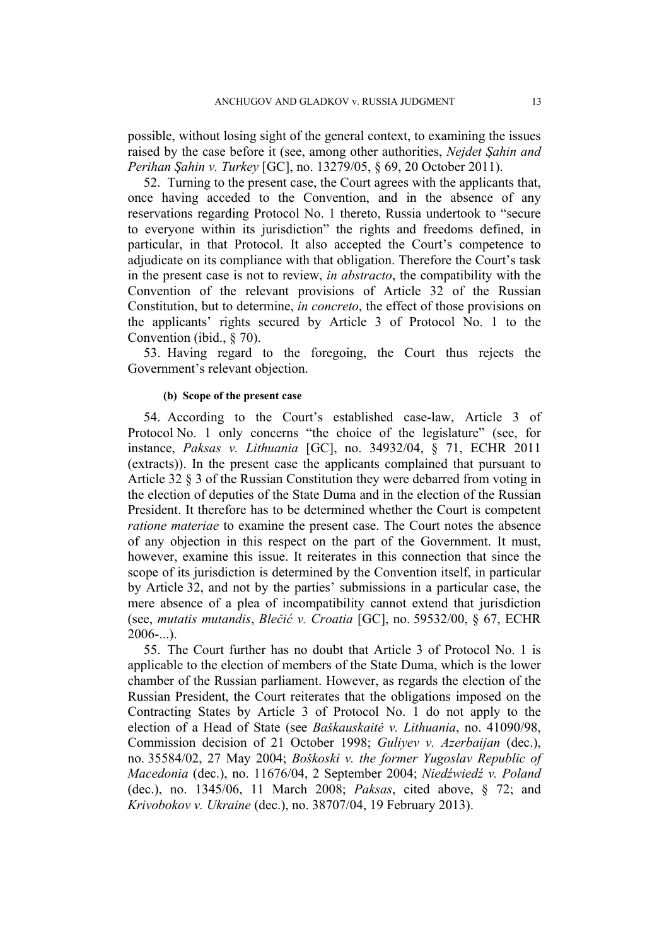possible, without losing sight of the general context, to examining the issues raised by the case before it (see, among other authorities, *Nejdet Şahin and Perihan Şahin v. Turkey* [GC], no. 13279/05, § 69, 20 October 2011).

52. Turning to the present case, the Court agrees with the applicants that, once having acceded to the Convention, and in the absence of any reservations regarding Protocol No. 1 thereto, Russia undertook to "secure to everyone within its jurisdiction" the rights and freedoms defined, in particular, in that Protocol. It also accepted the Court's competence to adjudicate on its compliance with that obligation. Therefore the Court's task in the present case is not to review, *in abstracto*, the compatibility with the Convention of the relevant provisions of Article 32 of the Russian Constitution, but to determine, *in concreto*, the effect of those provisions on the applicants' rights secured by Article 3 of Protocol No. 1 to the Convention (ibid., § 70).

53. Having regard to the foregoing, the Court thus rejects the Government's relevant objection.

#### **(b) Scope of the present case**

54. According to the Court's established case-law, Article 3 of Protocol No. 1 only concerns "the choice of the legislature" (see, for instance, *Paksas v. Lithuania* [GC], no. 34932/04, § 71, ECHR 2011 (extracts)). In the present case the applicants complained that pursuant to Article 32 § 3 of the Russian Constitution they were debarred from voting in the election of deputies of the State Duma and in the election of the Russian President. It therefore has to be determined whether the Court is competent *ratione materiae* to examine the present case. The Court notes the absence of any objection in this respect on the part of the Government. It must, however, examine this issue. It reiterates in this connection that since the scope of its jurisdiction is determined by the Convention itself, in particular by Article 32, and not by the parties' submissions in a particular case, the mere absence of a plea of incompatibility cannot extend that jurisdiction (see, *mutatis mutandis*, *Blečić v. Croatia* [GC], no. 59532/00, § 67, ECHR  $2006$ -...).

55. The Court further has no doubt that Article 3 of Protocol No. 1 is applicable to the election of members of the State Duma, which is the lower chamber of the Russian parliament. However, as regards the election of the Russian President, the Court reiterates that the obligations imposed on the Contracting States by Article 3 of Protocol No. 1 do not apply to the election of a Head of State (see *Baškauskaitė v. Lithuania*, no. 41090/98, Commission decision of 21 October 1998; *Guliyev v. Azerbaijan* (dec.), no. 35584/02, 27 May 2004; *Boškoski v. the former Yugoslav Republic of Macedonia* (dec.), no. 11676/04, 2 September 2004; *Niedźwiedź v. Poland* (dec.), no. 1345/06, 11 March 2008; *Paksas*, cited above, § 72; and *Krivobokov v. Ukraine* (dec.), no. 38707/04, 19 February 2013).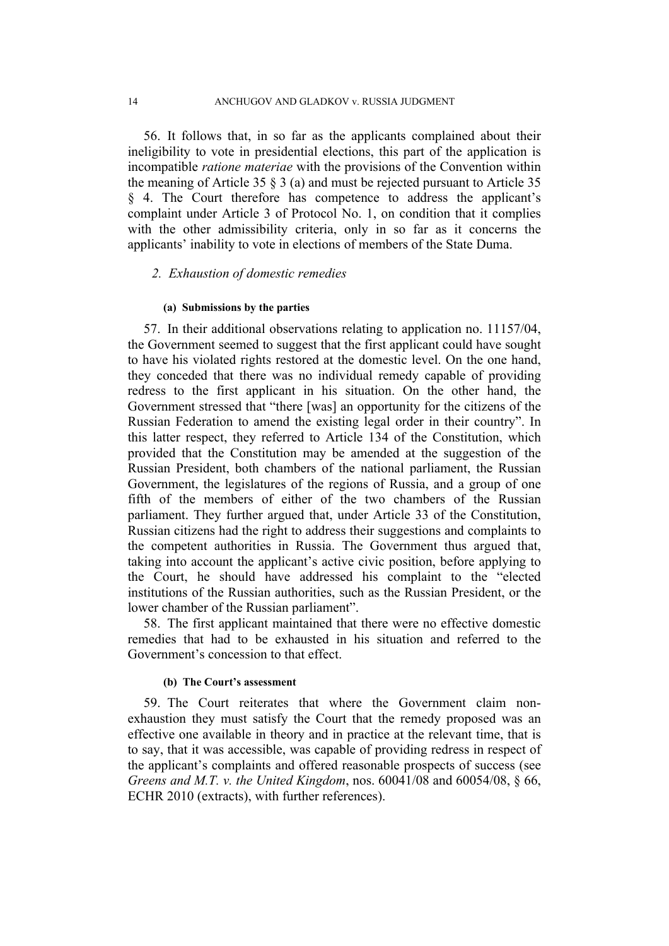56. It follows that, in so far as the applicants complained about their ineligibility to vote in presidential elections, this part of the application is incompatible *ratione materiae* with the provisions of the Convention within the meaning of Article 35  $\frac{8}{3}$  (a) and must be rejected pursuant to Article 35 § 4. The Court therefore has competence to address the applicant's complaint under Article 3 of Protocol No. 1, on condition that it complies with the other admissibility criteria, only in so far as it concerns the applicants' inability to vote in elections of members of the State Duma.

#### *2. Exhaustion of domestic remedies*

#### **(a) Submissions by the parties**

57. In their additional observations relating to application no. 11157/04, the Government seemed to suggest that the first applicant could have sought to have his violated rights restored at the domestic level. On the one hand, they conceded that there was no individual remedy capable of providing redress to the first applicant in his situation. On the other hand, the Government stressed that "there [was] an opportunity for the citizens of the Russian Federation to amend the existing legal order in their country". In this latter respect, they referred to Article 134 of the Constitution, which provided that the Constitution may be amended at the suggestion of the Russian President, both chambers of the national parliament, the Russian Government, the legislatures of the regions of Russia, and a group of one fifth of the members of either of the two chambers of the Russian parliament. They further argued that, under Article 33 of the Constitution, Russian citizens had the right to address their suggestions and complaints to the competent authorities in Russia. The Government thus argued that, taking into account the applicant's active civic position, before applying to the Court, he should have addressed his complaint to the "elected institutions of the Russian authorities, such as the Russian President, or the lower chamber of the Russian parliament".

58. The first applicant maintained that there were no effective domestic remedies that had to be exhausted in his situation and referred to the Government's concession to that effect.

### **(b) The Court's assessment**

<span id="page-15-0"></span>59. The Court reiterates that where the Government claim nonexhaustion they must satisfy the Court that the remedy proposed was an effective one available in theory and in practice at the relevant time, that is to say, that it was accessible, was capable of providing redress in respect of the applicant's complaints and offered reasonable prospects of success (see *Greens and M.T. v. the United Kingdom*, nos. 60041/08 and 60054/08, § 66, ECHR 2010 (extracts), with further references).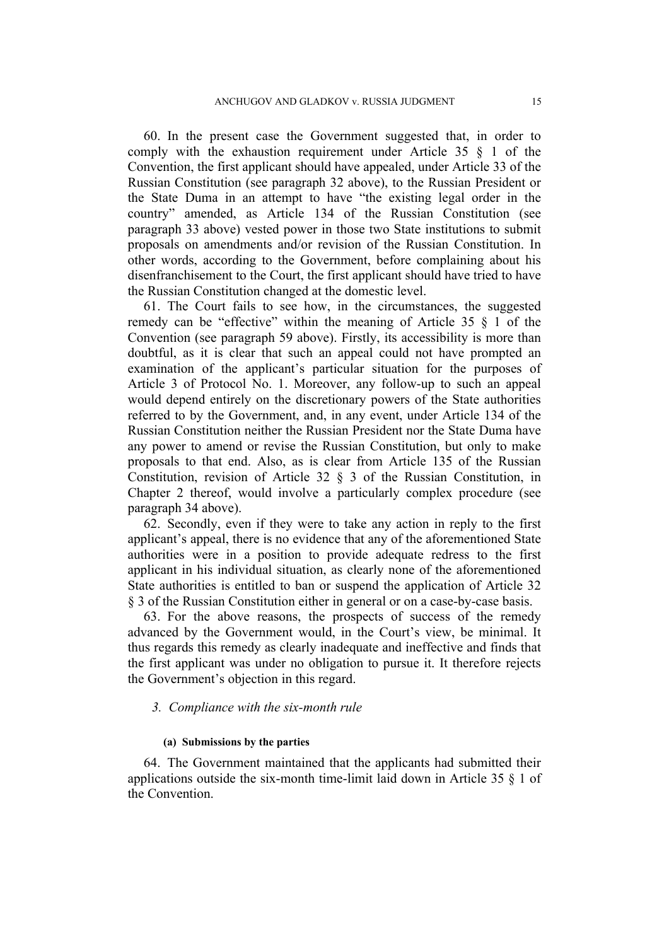60. In the present case the Government suggested that, in order to comply with the exhaustion requirement under Article 35 § 1 of the Convention, the first applicant should have appealed, under Article 33 of the Russian Constitution (see paragraph [32](#page-8-0) above), to the Russian President or the State Duma in an attempt to have "the existing legal order in the country" amended, as Article 134 of the Russian Constitution (see paragraph [33](#page-8-1) above) vested power in those two State institutions to submit proposals on amendments and/or revision of the Russian Constitution. In other words, according to the Government, before complaining about his disenfranchisement to the Court, the first applicant should have tried to have the Russian Constitution changed at the domestic level.

61. The Court fails to see how, in the circumstances, the suggested remedy can be "effective" within the meaning of Article 35 § 1 of the Convention (see paragraph [59](#page-15-0) above). Firstly, its accessibility is more than doubtful, as it is clear that such an appeal could not have prompted an examination of the applicant's particular situation for the purposes of Article 3 of Protocol No. 1. Moreover, any follow-up to such an appeal would depend entirely on the discretionary powers of the State authorities referred to by the Government, and, in any event, under Article 134 of the Russian Constitution neither the Russian President nor the State Duma have any power to amend or revise the Russian Constitution, but only to make proposals to that end. Also, as is clear from Article 135 of the Russian Constitution, revision of Article 32 § 3 of the Russian Constitution, in Chapter 2 thereof, would involve a particularly complex procedure (see paragraph [34](#page-8-2) above).

62. Secondly, even if they were to take any action in reply to the first applicant's appeal, there is no evidence that any of the aforementioned State authorities were in a position to provide adequate redress to the first applicant in his individual situation, as clearly none of the aforementioned State authorities is entitled to ban or suspend the application of Article 32 § 3 of the Russian Constitution either in general or on a case-by-case basis.

63. For the above reasons, the prospects of success of the remedy advanced by the Government would, in the Court's view, be minimal. It thus regards this remedy as clearly inadequate and ineffective and finds that the first applicant was under no obligation to pursue it. It therefore rejects the Government's objection in this regard.

## *3. Compliance with the six-month rule*

#### **(a) Submissions by the parties**

64. The Government maintained that the applicants had submitted their applications outside the six-month time-limit laid down in Article 35 § 1 of the Convention.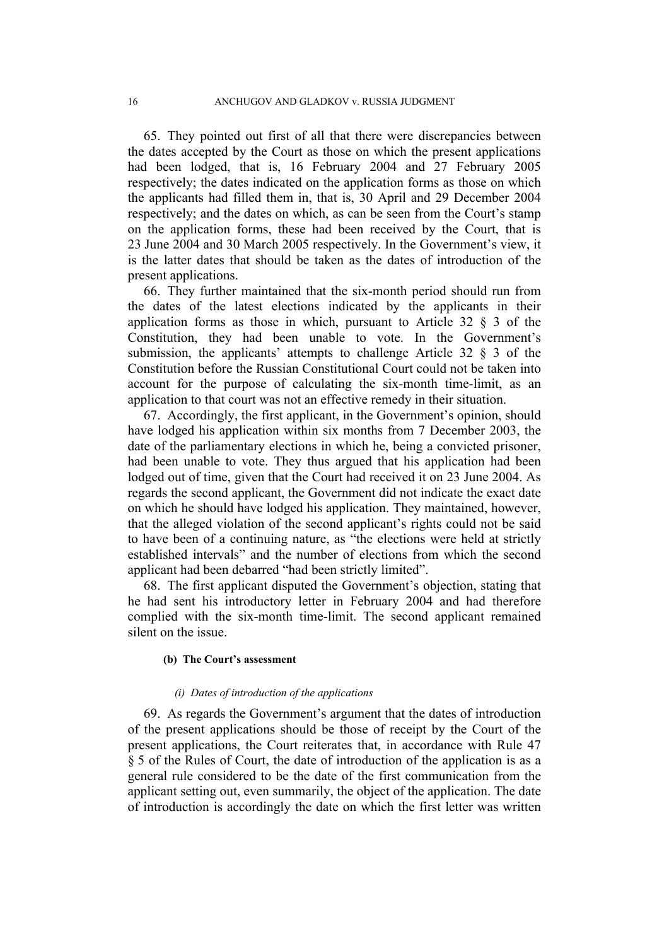65. They pointed out first of all that there were discrepancies between the dates accepted by the Court as those on which the present applications had been lodged, that is, 16 February 2004 and 27 February 2005 respectively; the dates indicated on the application forms as those on which the applicants had filled them in, that is, 30 April and 29 December 2004 respectively; and the dates on which, as can be seen from the Court's stamp on the application forms, these had been received by the Court, that is 23 June 2004 and 30 March 2005 respectively. In the Government's view, it is the latter dates that should be taken as the dates of introduction of the present applications.

<span id="page-17-0"></span>66. They further maintained that the six-month period should run from the dates of the latest elections indicated by the applicants in their application forms as those in which, pursuant to Article 32  $\frac{8}{3}$  3 of the Constitution, they had been unable to vote. In the Government's submission, the applicants' attempts to challenge Article 32 § 3 of the Constitution before the Russian Constitutional Court could not be taken into account for the purpose of calculating the six-month time-limit, as an application to that court was not an effective remedy in their situation.

67. Accordingly, the first applicant, in the Government's opinion, should have lodged his application within six months from 7 December 2003, the date of the parliamentary elections in which he, being a convicted prisoner, had been unable to vote. They thus argued that his application had been lodged out of time, given that the Court had received it on 23 June 2004. As regards the second applicant, the Government did not indicate the exact date on which he should have lodged his application. They maintained, however, that the alleged violation of the second applicant's rights could not be said to have been of a continuing nature, as "the elections were held at strictly established intervals" and the number of elections from which the second applicant had been debarred "had been strictly limited".

68. The first applicant disputed the Government's objection, stating that he had sent his introductory letter in February 2004 and had therefore complied with the six-month time-limit. The second applicant remained silent on the issue.

#### **(b) The Court's assessment**

#### *(i) Dates of introduction of the applications*

69. As regards the Government's argument that the dates of introduction of the present applications should be those of receipt by the Court of the present applications, the Court reiterates that, in accordance with Rule 47 § 5 of the Rules of Court, the date of introduction of the application is as a general rule considered to be the date of the first communication from the applicant setting out, even summarily, the object of the application. The date of introduction is accordingly the date on which the first letter was written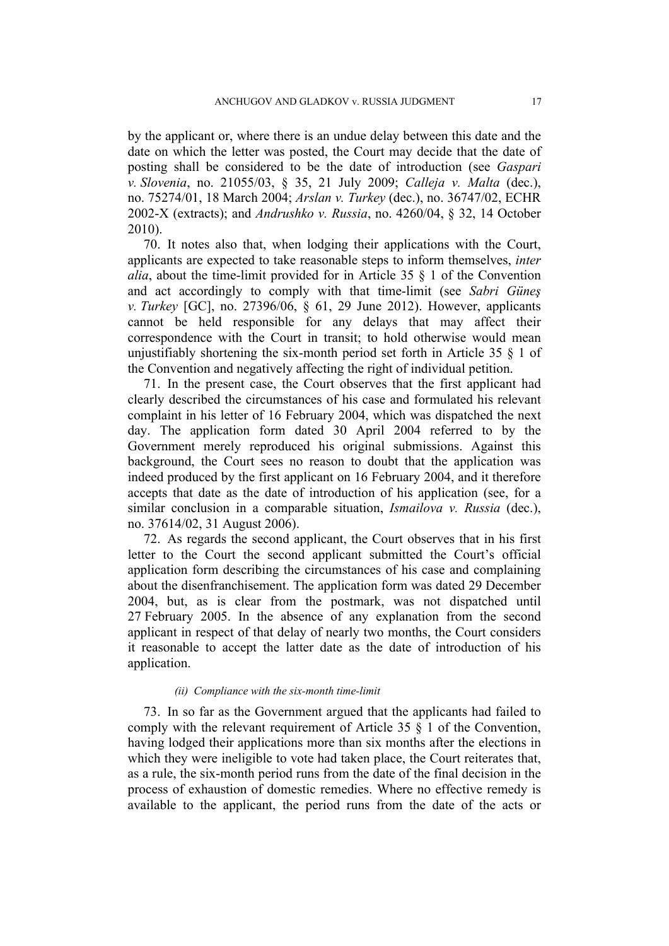by the applicant or, where there is an undue delay between this date and the date on which the letter was posted, the Court may decide that the date of posting shall be considered to be the date of introduction (see *Gaspari v. Slovenia*, no. 21055/03, § 35, 21 July 2009; *Calleja v. Malta* (dec.), no. 75274/01, 18 March 2004; *Arslan v. Turkey* (dec.), no. 36747/02, ECHR 2002-X (extracts); and *Andrushko v. Russia*, no. 4260/04, § 32, 14 October 2010).

70. It notes also that, when lodging their applications with the Court, applicants are expected to take reasonable steps to inform themselves, *inter alia*, about the time-limit provided for in Article 35 § 1 of the Convention and act accordingly to comply with that time-limit (see *Sabri Güneş v. Turkey* [GC], no. 27396/06, § 61, 29 June 2012). However, applicants cannot be held responsible for any delays that may affect their correspondence with the Court in transit; to hold otherwise would mean unjustifiably shortening the six-month period set forth in Article 35 § 1 of the Convention and negatively affecting the right of individual petition.

71. In the present case, the Court observes that the first applicant had clearly described the circumstances of his case and formulated his relevant complaint in his letter of 16 February 2004, which was dispatched the next day. The application form dated 30 April 2004 referred to by the Government merely reproduced his original submissions. Against this background, the Court sees no reason to doubt that the application was indeed produced by the first applicant on 16 February 2004, and it therefore accepts that date as the date of introduction of his application (see, for a similar conclusion in a comparable situation, *Ismailova v. Russia* (dec.), no. 37614/02, 31 August 2006).

72. As regards the second applicant, the Court observes that in his first letter to the Court the second applicant submitted the Court's official application form describing the circumstances of his case and complaining about the disenfranchisement. The application form was dated 29 December 2004, but, as is clear from the postmark, was not dispatched until 27 February 2005. In the absence of any explanation from the second applicant in respect of that delay of nearly two months, the Court considers it reasonable to accept the latter date as the date of introduction of his application.

#### *(ii) Compliance with the six-month time-limit*

73. In so far as the Government argued that the applicants had failed to comply with the relevant requirement of Article 35 § 1 of the Convention, having lodged their applications more than six months after the elections in which they were ineligible to vote had taken place, the Court reiterates that, as a rule, the six-month period runs from the date of the final decision in the process of exhaustion of domestic remedies. Where no effective remedy is available to the applicant, the period runs from the date of the acts or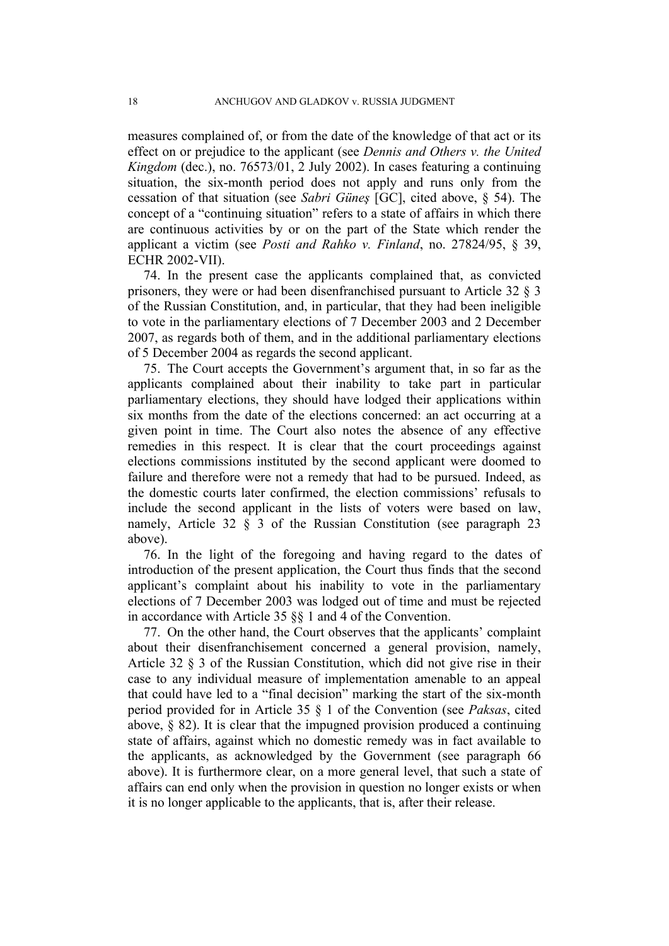measures complained of, or from the date of the knowledge of that act or its effect on or prejudice to the applicant (see *Dennis and Others v. the United Kingdom* (dec.), no. 76573/01, 2 July 2002). In cases featuring a continuing situation, the six-month period does not apply and runs only from the cessation of that situation (see *Sabri Güneş* [GC], cited above, § 54). The concept of a "continuing situation" refers to a state of affairs in which there are continuous activities by or on the part of the State which render the applicant a victim (see *Posti and Rahko v. Finland*, no. 27824/95, § 39, ECHR 2002-VII).

74. In the present case the applicants complained that, as convicted prisoners, they were or had been disenfranchised pursuant to Article 32 § 3 of the Russian Constitution, and, in particular, that they had been ineligible to vote in the parliamentary elections of 7 December 2003 and 2 December 2007, as regards both of them, and in the additional parliamentary elections of 5 December 2004 as regards the second applicant.

75. The Court accepts the Government's argument that, in so far as the applicants complained about their inability to take part in particular parliamentary elections, they should have lodged their applications within six months from the date of the elections concerned: an act occurring at a given point in time. The Court also notes the absence of any effective remedies in this respect. It is clear that the court proceedings against elections commissions instituted by the second applicant were doomed to failure and therefore were not a remedy that had to be pursued. Indeed, as the domestic courts later confirmed, the election commissions' refusals to include the second applicant in the lists of voters were based on law, namely, Article 32 § 3 of the Russian Constitution (see paragraph [23](#page-5-0) above).

76. In the light of the foregoing and having regard to the dates of introduction of the present application, the Court thus finds that the second applicant's complaint about his inability to vote in the parliamentary elections of 7 December 2003 was lodged out of time and must be rejected in accordance with Article 35 §§ 1 and 4 of the Convention.

77. On the other hand, the Court observes that the applicants' complaint about their disenfranchisement concerned a general provision, namely, Article 32 § 3 of the Russian Constitution, which did not give rise in their case to any individual measure of implementation amenable to an appeal that could have led to a "final decision" marking the start of the six-month period provided for in Article 35 § 1 of the Convention (see *Paksas*, cited above, § 82). It is clear that the impugned provision produced a continuing state of affairs, against which no domestic remedy was in fact available to the applicants, as acknowledged by the Government (see paragraph [66](#page-17-0) above). It is furthermore clear, on a more general level, that such a state of affairs can end only when the provision in question no longer exists or when it is no longer applicable to the applicants, that is, after their release.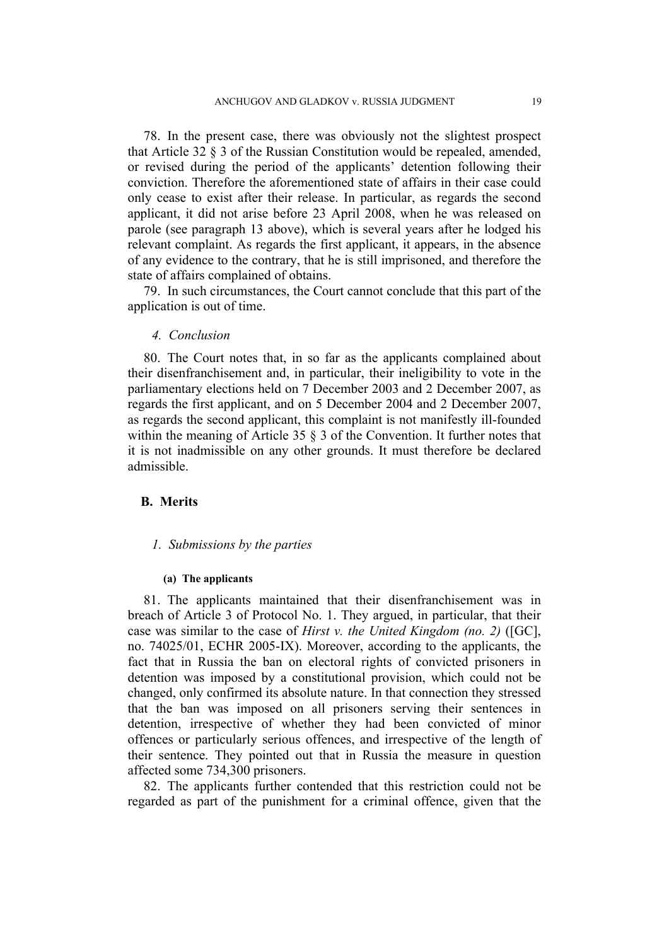78. In the present case, there was obviously not the slightest prospect that Article 32 § 3 of the Russian Constitution would be repealed, amended, or revised during the period of the applicants' detention following their conviction. Therefore the aforementioned state of affairs in their case could only cease to exist after their release. In particular, as regards the second applicant, it did not arise before 23 April 2008, when he was released on parole (see paragraph [13](#page-3-0) above), which is several years after he lodged his relevant complaint. As regards the first applicant, it appears, in the absence of any evidence to the contrary, that he is still imprisoned, and therefore the state of affairs complained of obtains.

79. In such circumstances, the Court cannot conclude that this part of the application is out of time.

#### *4. Conclusion*

80. The Court notes that, in so far as the applicants complained about their disenfranchisement and, in particular, their ineligibility to vote in the parliamentary elections held on 7 December 2003 and 2 December 2007, as regards the first applicant, and on 5 December 2004 and 2 December 2007, as regards the second applicant, this complaint is not manifestly ill-founded within the meaning of Article 35  $\S$  3 of the Convention. It further notes that it is not inadmissible on any other grounds. It must therefore be declared admissible.

## **B. Merits**

#### *1. Submissions by the parties*

#### **(a) The applicants**

81. The applicants maintained that their disenfranchisement was in breach of Article 3 of Protocol No. 1. They argued, in particular, that their case was similar to the case of *Hirst v. the United Kingdom (no. 2)* ([GC], no. 74025/01, ECHR 2005-IX). Moreover, according to the applicants, the fact that in Russia the ban on electoral rights of convicted prisoners in detention was imposed by a constitutional provision, which could not be changed, only confirmed its absolute nature. In that connection they stressed that the ban was imposed on all prisoners serving their sentences in detention, irrespective of whether they had been convicted of minor offences or particularly serious offences, and irrespective of the length of their sentence. They pointed out that in Russia the measure in question affected some 734,300 prisoners.

82. The applicants further contended that this restriction could not be regarded as part of the punishment for a criminal offence, given that the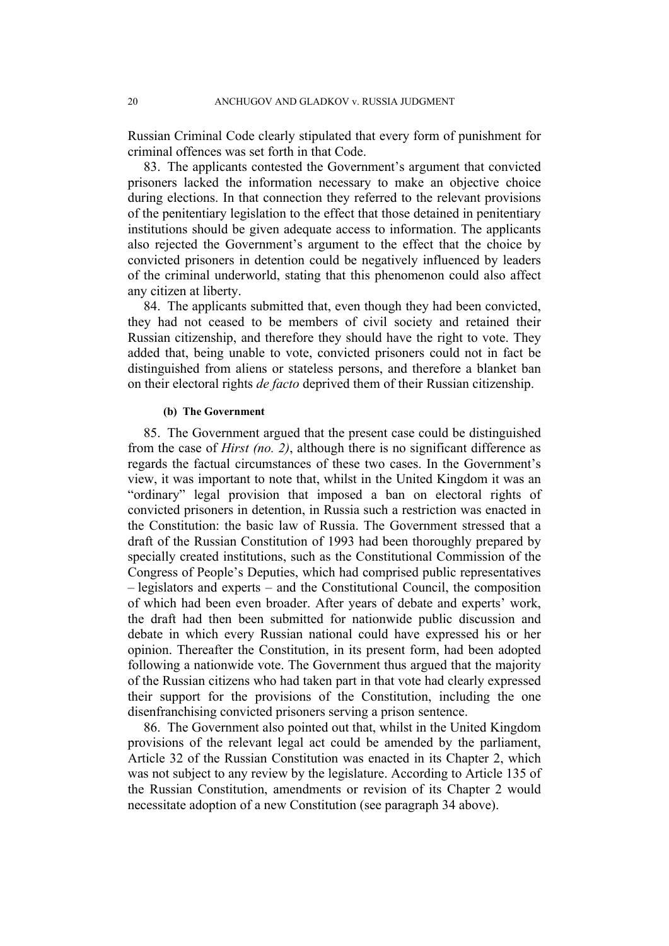Russian Criminal Code clearly stipulated that every form of punishment for criminal offences was set forth in that Code.

83. The applicants contested the Government's argument that convicted prisoners lacked the information necessary to make an objective choice during elections. In that connection they referred to the relevant provisions of the penitentiary legislation to the effect that those detained in penitentiary institutions should be given adequate access to information. The applicants also rejected the Government's argument to the effect that the choice by convicted prisoners in detention could be negatively influenced by leaders of the criminal underworld, stating that this phenomenon could also affect any citizen at liberty.

84. The applicants submitted that, even though they had been convicted, they had not ceased to be members of civil society and retained their Russian citizenship, and therefore they should have the right to vote. They added that, being unable to vote, convicted prisoners could not in fact be distinguished from aliens or stateless persons, and therefore a blanket ban on their electoral rights *de facto* deprived them of their Russian citizenship.

#### **(b) The Government**

<span id="page-21-0"></span>85. The Government argued that the present case could be distinguished from the case of *Hirst (no. 2)*, although there is no significant difference as regards the factual circumstances of these two cases. In the Government's view, it was important to note that, whilst in the United Kingdom it was an "ordinary" legal provision that imposed a ban on electoral rights of convicted prisoners in detention, in Russia such a restriction was enacted in the Constitution: the basic law of Russia. The Government stressed that a draft of the Russian Constitution of 1993 had been thoroughly prepared by specially created institutions, such as the Constitutional Commission of the Congress of People's Deputies, which had comprised public representatives – legislators and experts – and the Constitutional Council, the composition of which had been even broader. After years of debate and experts' work, the draft had then been submitted for nationwide public discussion and debate in which every Russian national could have expressed his or her opinion. Thereafter the Constitution, in its present form, had been adopted following a nationwide vote. The Government thus argued that the majority of the Russian citizens who had taken part in that vote had clearly expressed their support for the provisions of the Constitution, including the one disenfranchising convicted prisoners serving a prison sentence.

<span id="page-21-1"></span>86. The Government also pointed out that, whilst in the United Kingdom provisions of the relevant legal act could be amended by the parliament, Article 32 of the Russian Constitution was enacted in its Chapter 2, which was not subject to any review by the legislature. According to Article 135 of the Russian Constitution, amendments or revision of its Chapter 2 would necessitate adoption of a new Constitution (see paragraph [34](#page-8-2) above).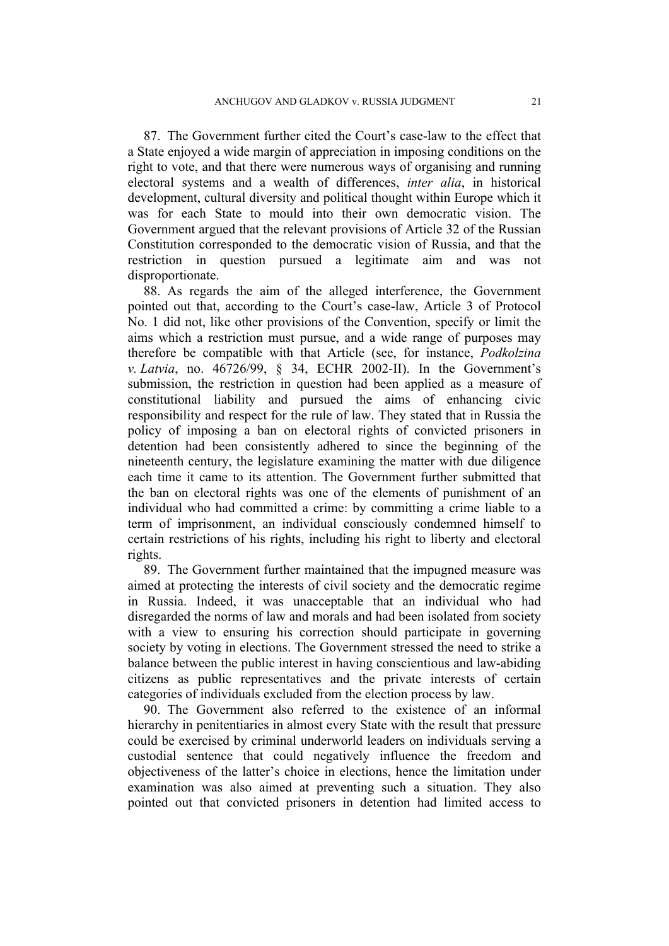<span id="page-22-2"></span>87. The Government further cited the Court's case-law to the effect that a State enjoyed a wide margin of appreciation in imposing conditions on the right to vote, and that there were numerous ways of organising and running electoral systems and a wealth of differences, *inter alia*, in historical development, cultural diversity and political thought within Europe which it was for each State to mould into their own democratic vision. The Government argued that the relevant provisions of Article 32 of the Russian Constitution corresponded to the democratic vision of Russia, and that the restriction in question pursued a legitimate aim and was not disproportionate.

<span id="page-22-0"></span>88. As regards the aim of the alleged interference, the Government pointed out that, according to the Court's case-law, Article 3 of Protocol No. 1 did not, like other provisions of the Convention, specify or limit the aims which a restriction must pursue, and a wide range of purposes may therefore be compatible with that Article (see, for instance, *Podkolzina v. Latvia*, no. 46726/99, § 34, ECHR 2002-II). In the Government's submission, the restriction in question had been applied as a measure of constitutional liability and pursued the aims of enhancing civic responsibility and respect for the rule of law. They stated that in Russia the policy of imposing a ban on electoral rights of convicted prisoners in detention had been consistently adhered to since the beginning of the nineteenth century, the legislature examining the matter with due diligence each time it came to its attention. The Government further submitted that the ban on electoral rights was one of the elements of punishment of an individual who had committed a crime: by committing a crime liable to a term of imprisonment, an individual consciously condemned himself to certain restrictions of his rights, including his right to liberty and electoral rights.

89. The Government further maintained that the impugned measure was aimed at protecting the interests of civil society and the democratic regime in Russia. Indeed, it was unacceptable that an individual who had disregarded the norms of law and morals and had been isolated from society with a view to ensuring his correction should participate in governing society by voting in elections. The Government stressed the need to strike a balance between the public interest in having conscientious and law-abiding citizens as public representatives and the private interests of certain categories of individuals excluded from the election process by law.

<span id="page-22-1"></span>90. The Government also referred to the existence of an informal hierarchy in penitentiaries in almost every State with the result that pressure could be exercised by criminal underworld leaders on individuals serving a custodial sentence that could negatively influence the freedom and objectiveness of the latter's choice in elections, hence the limitation under examination was also aimed at preventing such a situation. They also pointed out that convicted prisoners in detention had limited access to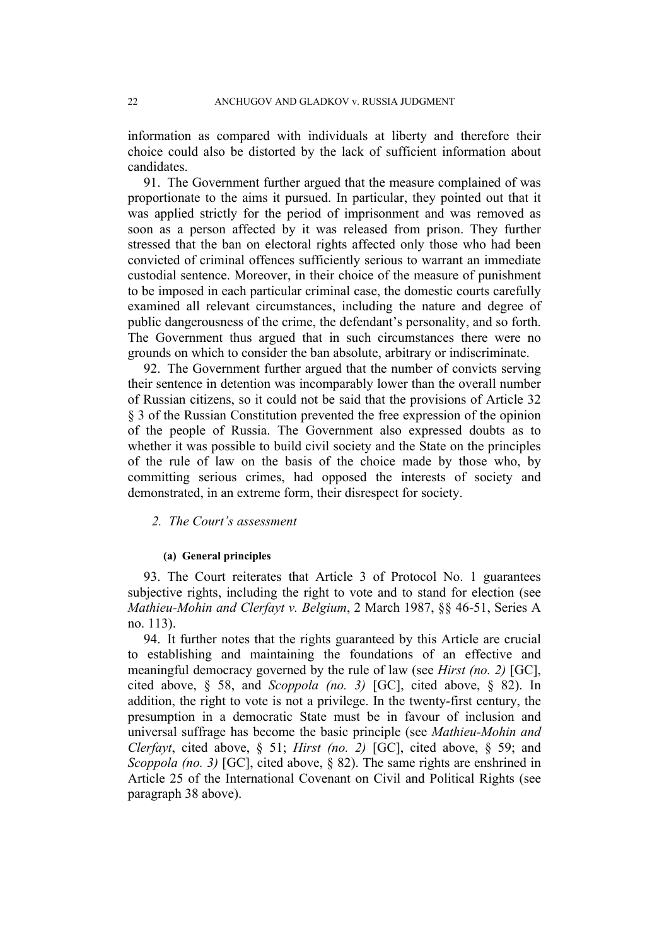information as compared with individuals at liberty and therefore their choice could also be distorted by the lack of sufficient information about candidates.

<span id="page-23-2"></span>91. The Government further argued that the measure complained of was proportionate to the aims it pursued. In particular, they pointed out that it was applied strictly for the period of imprisonment and was removed as soon as a person affected by it was released from prison. They further stressed that the ban on electoral rights affected only those who had been convicted of criminal offences sufficiently serious to warrant an immediate custodial sentence. Moreover, in their choice of the measure of punishment to be imposed in each particular criminal case, the domestic courts carefully examined all relevant circumstances, including the nature and degree of public dangerousness of the crime, the defendant's personality, and so forth. The Government thus argued that in such circumstances there were no grounds on which to consider the ban absolute, arbitrary or indiscriminate.

<span id="page-23-1"></span>92. The Government further argued that the number of convicts serving their sentence in detention was incomparably lower than the overall number of Russian citizens, so it could not be said that the provisions of Article 32 § 3 of the Russian Constitution prevented the free expression of the opinion of the people of Russia. The Government also expressed doubts as to whether it was possible to build civil society and the State on the principles of the rule of law on the basis of the choice made by those who, by committing serious crimes, had opposed the interests of society and demonstrated, in an extreme form, their disrespect for society.

## *2. The Court's assessment*

#### **(a) General principles**

93. The Court reiterates that Article 3 of Protocol No. 1 guarantees subjective rights, including the right to vote and to stand for election (see *Mathieu-Mohin and Clerfayt v. Belgium*, 2 March 1987, §§ 46-51, Series A no. 113).

<span id="page-23-0"></span>94. It further notes that the rights guaranteed by this Article are crucial to establishing and maintaining the foundations of an effective and meaningful democracy governed by the rule of law (see *Hirst (no. 2)* [GC], cited above, § 58, and *Scoppola (no. 3)* [GC], cited above, § 82). In addition, the right to vote is not a privilege. In the twenty-first century, the presumption in a democratic State must be in favour of inclusion and universal suffrage has become the basic principle (see *Mathieu-Mohin and Clerfayt*, cited above, § 51; *Hirst (no. 2)* [GC], cited above, § 59; and *Scoppola (no. 3)* [GC], cited above, § 82). The same rights are enshrined in Article 25 of the International Covenant on Civil and Political Rights (see paragraph [38](#page-10-0) above).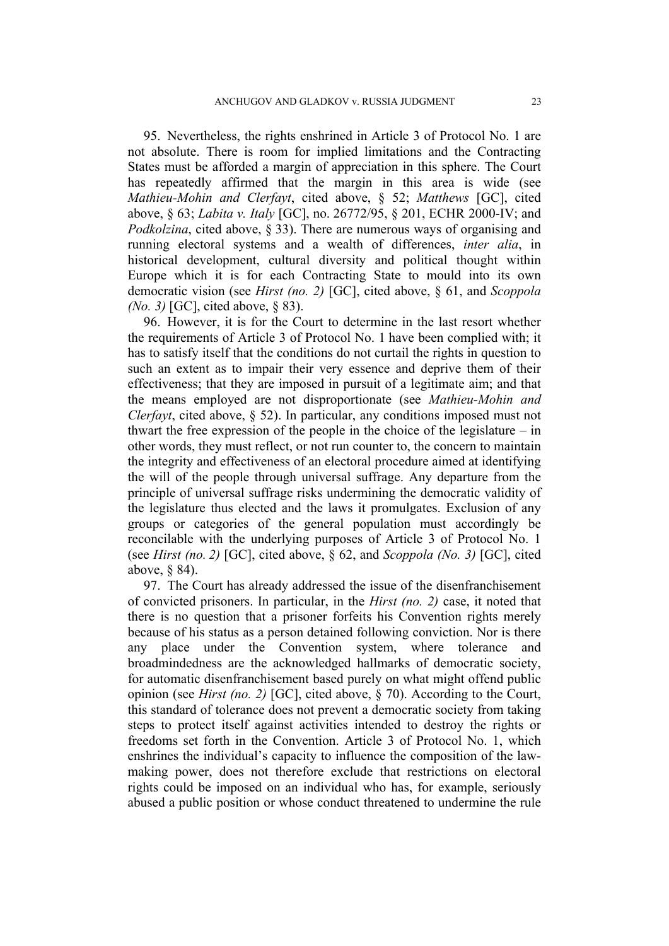95. Nevertheless, the rights enshrined in Article 3 of Protocol No. 1 are not absolute. There is room for implied limitations and the Contracting States must be afforded a margin of appreciation in this sphere. The Court has repeatedly affirmed that the margin in this area is wide (see *Mathieu-Mohin and Clerfayt*, cited above, § 52; *Matthews* [GC], cited above, § 63; *Labita v. Italy* [GC], no. 26772/95, § 201, ECHR 2000-IV; and *Podkolzina*, cited above, § 33). There are numerous ways of organising and running electoral systems and a wealth of differences, *inter alia*, in historical development, cultural diversity and political thought within Europe which it is for each Contracting State to mould into its own democratic vision (see *Hirst (no. 2)* [GC], cited above, § 61, and *Scoppola (No. 3)* [GC], cited above, § 83).

96. However, it is for the Court to determine in the last resort whether the requirements of Article 3 of Protocol No. 1 have been complied with; it has to satisfy itself that the conditions do not curtail the rights in question to such an extent as to impair their very essence and deprive them of their effectiveness; that they are imposed in pursuit of a legitimate aim; and that the means employed are not disproportionate (see *Mathieu-Mohin and Clerfayt*, cited above, § 52). In particular, any conditions imposed must not thwart the free expression of the people in the choice of the legislature – in other words, they must reflect, or not run counter to, the concern to maintain the integrity and effectiveness of an electoral procedure aimed at identifying the will of the people through universal suffrage. Any departure from the principle of universal suffrage risks undermining the democratic validity of the legislature thus elected and the laws it promulgates. Exclusion of any groups or categories of the general population must accordingly be reconcilable with the underlying purposes of Article 3 of Protocol No. 1 (see *Hirst (no. 2)* [GC], cited above, § 62, and *Scoppola (No. 3)* [GC], cited above, § 84).

97. The Court has already addressed the issue of the disenfranchisement of convicted prisoners. In particular, in the *Hirst (no. 2)* case, it noted that there is no question that a prisoner forfeits his Convention rights merely because of his status as a person detained following conviction. Nor is there any place under the Convention system, where tolerance and broadmindedness are the acknowledged hallmarks of democratic society, for automatic disenfranchisement based purely on what might offend public opinion (see *Hirst (no. 2)* [GC], cited above, § 70). According to the Court, this standard of tolerance does not prevent a democratic society from taking steps to protect itself against activities intended to destroy the rights or freedoms set forth in the Convention. Article 3 of Protocol No. 1, which enshrines the individual's capacity to influence the composition of the lawmaking power, does not therefore exclude that restrictions on electoral rights could be imposed on an individual who has, for example, seriously abused a public position or whose conduct threatened to undermine the rule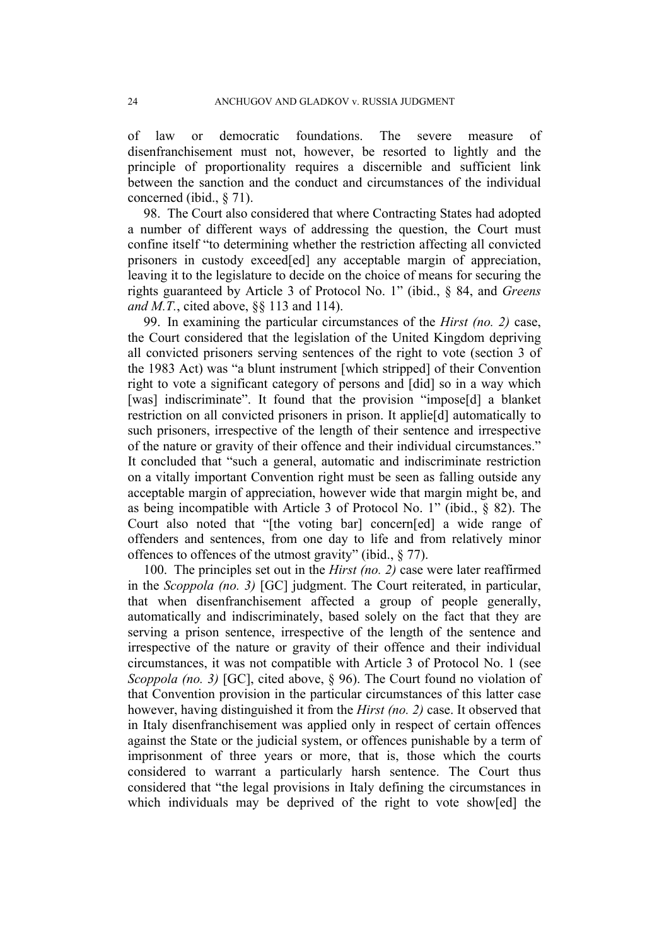of law or democratic foundations. The severe measure of disenfranchisement must not, however, be resorted to lightly and the principle of proportionality requires a discernible and sufficient link between the sanction and the conduct and circumstances of the individual concerned (ibid., § 71).

98. The Court also considered that where Contracting States had adopted a number of different ways of addressing the question, the Court must confine itself "to determining whether the restriction affecting all convicted prisoners in custody exceed[ed] any acceptable margin of appreciation, leaving it to the legislature to decide on the choice of means for securing the rights guaranteed by Article 3 of Protocol No. 1" (ibid., § 84, and *Greens and M.T.*, cited above, §§ 113 and 114).

99. In examining the particular circumstances of the *Hirst (no. 2)* case, the Court considered that the legislation of the United Kingdom depriving all convicted prisoners serving sentences of the right to vote (section 3 of the 1983 Act) was "a blunt instrument [which stripped] of their Convention right to vote a significant category of persons and [did] so in a way which [was] indiscriminate". It found that the provision "impose[d] a blanket restriction on all convicted prisoners in prison. It applie[d] automatically to such prisoners, irrespective of the length of their sentence and irrespective of the nature or gravity of their offence and their individual circumstances." It concluded that "such a general, automatic and indiscriminate restriction on a vitally important Convention right must be seen as falling outside any acceptable margin of appreciation, however wide that margin might be, and as being incompatible with Article 3 of Protocol No. 1" (ibid., § 82). The Court also noted that "[the voting bar] concern[ed] a wide range of offenders and sentences, from one day to life and from relatively minor offences to offences of the utmost gravity" (ibid., § 77).

100. The principles set out in the *Hirst (no. 2)* case were later reaffirmed in the *Scoppola (no. 3)* [GC] judgment. The Court reiterated, in particular, that when disenfranchisement affected a group of people generally, automatically and indiscriminately, based solely on the fact that they are serving a prison sentence, irrespective of the length of the sentence and irrespective of the nature or gravity of their offence and their individual circumstances, it was not compatible with Article 3 of Protocol No. 1 (see *Scoppola (no. 3)* [GC], cited above, § 96). The Court found no violation of that Convention provision in the particular circumstances of this latter case however, having distinguished it from the *Hirst (no. 2)* case. It observed that in Italy disenfranchisement was applied only in respect of certain offences against the State or the judicial system, or offences punishable by a term of imprisonment of three years or more, that is, those which the courts considered to warrant a particularly harsh sentence. The Court thus considered that "the legal provisions in Italy defining the circumstances in which individuals may be deprived of the right to vote show[ed] the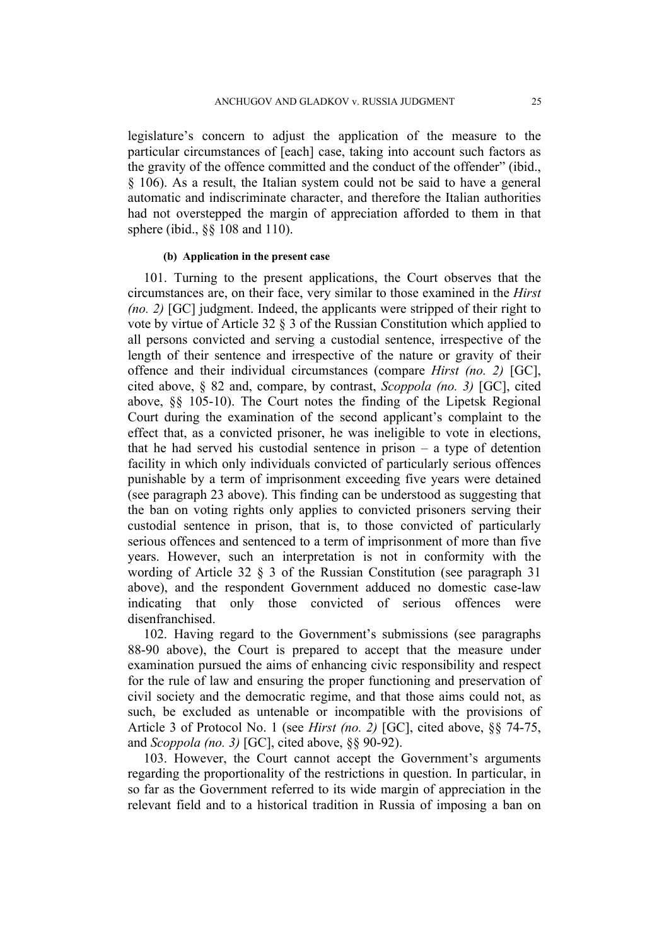legislature's concern to adjust the application of the measure to the particular circumstances of [each] case, taking into account such factors as the gravity of the offence committed and the conduct of the offender" (ibid., § 106). As a result, the Italian system could not be said to have a general automatic and indiscriminate character, and therefore the Italian authorities had not overstepped the margin of appreciation afforded to them in that sphere (ibid., §§ 108 and 110).

#### **(b) Application in the present case**

<span id="page-26-0"></span>101. Turning to the present applications, the Court observes that the circumstances are, on their face, very similar to those examined in the *Hirst (no. 2)* [GC] judgment. Indeed, the applicants were stripped of their right to vote by virtue of Article 32 § 3 of the Russian Constitution which applied to all persons convicted and serving a custodial sentence, irrespective of the length of their sentence and irrespective of the nature or gravity of their offence and their individual circumstances (compare *Hirst (no. 2)* [GC], cited above, § 82 and, compare, by contrast, *Scoppola (no. 3)* [GC], cited above, §§ 105-10). The Court notes the finding of the Lipetsk Regional Court during the examination of the second applicant's complaint to the effect that, as a convicted prisoner, he was ineligible to vote in elections, that he had served his custodial sentence in prison – a type of detention facility in which only individuals convicted of particularly serious offences punishable by a term of imprisonment exceeding five years were detained (see paragraph [23](#page-5-0) above). This finding can be understood as suggesting that the ban on voting rights only applies to convicted prisoners serving their custodial sentence in prison, that is, to those convicted of particularly serious offences and sentenced to a term of imprisonment of more than five years. However, such an interpretation is not in conformity with the wording of Article 32 § 3 of the Russian Constitution (see paragraph 31 above), and the respondent Government adduced no domestic case-law indicating that only those convicted of serious offences were disenfranchised.

102. Having regard to the Government's submissions (see paragraphs [88-](#page-22-0)[90](#page-22-1) above), the Court is prepared to accept that the measure under examination pursued the aims of enhancing civic responsibility and respect for the rule of law and ensuring the proper functioning and preservation of civil society and the democratic regime, and that those aims could not, as such, be excluded as untenable or incompatible with the provisions of Article 3 of Protocol No. 1 (see *Hirst (no. 2)* [GC], cited above, §§ 74-75, and *Scoppola (no. 3)* [GC], cited above, §§ 90-92).

103. However, the Court cannot accept the Government's arguments regarding the proportionality of the restrictions in question. In particular, in so far as the Government referred to its wide margin of appreciation in the relevant field and to a historical tradition in Russia of imposing a ban on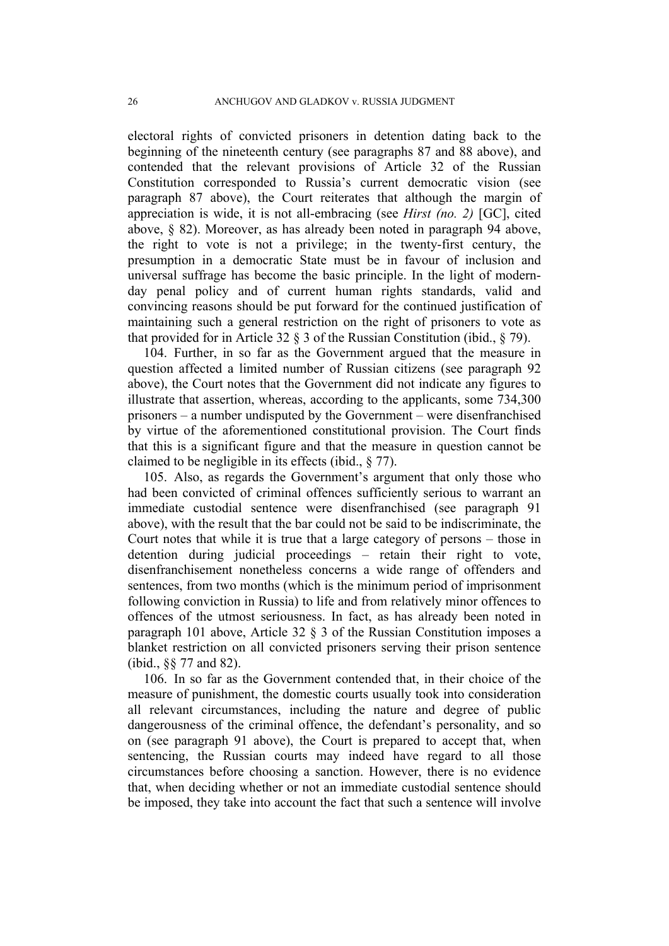electoral rights of convicted prisoners in detention dating back to the beginning of the nineteenth century (see paragraphs [87](#page-22-2) and [88](#page-22-0) above), and contended that the relevant provisions of Article 32 of the Russian Constitution corresponded to Russia's current democratic vision (see paragraph [87](#page-22-2) above), the Court reiterates that although the margin of appreciation is wide, it is not all-embracing (see *Hirst (no. 2)* [GC], cited above, § 82). Moreover, as has already been noted in paragraph [94](#page-23-0) above, the right to vote is not a privilege; in the twenty-first century, the presumption in a democratic State must be in favour of inclusion and universal suffrage has become the basic principle. In the light of modernday penal policy and of current human rights standards, valid and convincing reasons should be put forward for the continued justification of maintaining such a general restriction on the right of prisoners to vote as that provided for in Article 32 § 3 of the Russian Constitution (ibid., § 79).

104. Further, in so far as the Government argued that the measure in question affected a limited number of Russian citizens (see paragraph [92](#page-23-1) above), the Court notes that the Government did not indicate any figures to illustrate that assertion, whereas, according to the applicants, some 734,300 prisoners – a number undisputed by the Government – were disenfranchised by virtue of the aforementioned constitutional provision. The Court finds that this is a significant figure and that the measure in question cannot be claimed to be negligible in its effects (ibid., § 77).

105. Also, as regards the Government's argument that only those who had been convicted of criminal offences sufficiently serious to warrant an immediate custodial sentence were disenfranchised (see paragraph [91](#page-23-2) above), with the result that the bar could not be said to be indiscriminate, the Court notes that while it is true that a large category of persons – those in detention during judicial proceedings – retain their right to vote, disenfranchisement nonetheless concerns a wide range of offenders and sentences, from two months (which is the minimum period of imprisonment following conviction in Russia) to life and from relatively minor offences to offences of the utmost seriousness. In fact, as has already been noted in paragraph [101](#page-26-0) above, Article 32 § 3 of the Russian Constitution imposes a blanket restriction on all convicted prisoners serving their prison sentence (ibid., §§ 77 and 82).

106. In so far as the Government contended that, in their choice of the measure of punishment, the domestic courts usually took into consideration all relevant circumstances, including the nature and degree of public dangerousness of the criminal offence, the defendant's personality, and so on (see paragraph [91](#page-23-2) above), the Court is prepared to accept that, when sentencing, the Russian courts may indeed have regard to all those circumstances before choosing a sanction. However, there is no evidence that, when deciding whether or not an immediate custodial sentence should be imposed, they take into account the fact that such a sentence will involve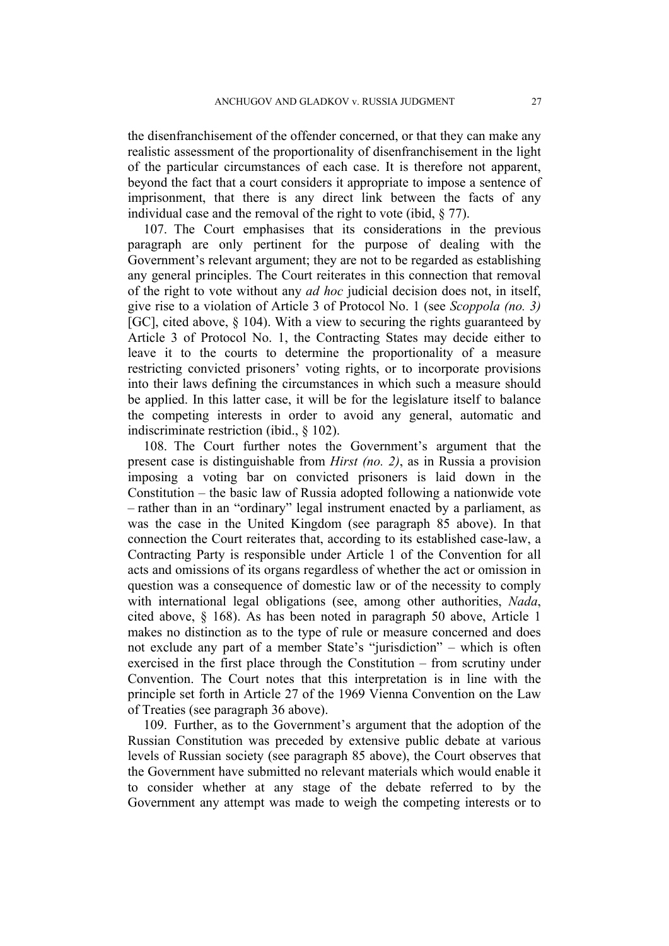the disenfranchisement of the offender concerned, or that they can make any realistic assessment of the proportionality of disenfranchisement in the light of the particular circumstances of each case. It is therefore not apparent, beyond the fact that a court considers it appropriate to impose a sentence of imprisonment, that there is any direct link between the facts of any individual case and the removal of the right to vote (ibid, § 77).

<span id="page-28-0"></span>107. The Court emphasises that its considerations in the previous paragraph are only pertinent for the purpose of dealing with the Government's relevant argument; they are not to be regarded as establishing any general principles. The Court reiterates in this connection that removal of the right to vote without any *ad hoc* judicial decision does not, in itself, give rise to a violation of Article 3 of Protocol No. 1 (see *Scoppola (no. 3)* [GC], cited above, § 104). With a view to securing the rights guaranteed by Article 3 of Protocol No. 1, the Contracting States may decide either to leave it to the courts to determine the proportionality of a measure restricting convicted prisoners' voting rights, or to incorporate provisions into their laws defining the circumstances in which such a measure should be applied. In this latter case, it will be for the legislature itself to balance the competing interests in order to avoid any general, automatic and indiscriminate restriction (ibid., § 102).

108. The Court further notes the Government's argument that the present case is distinguishable from *Hirst (no. 2)*, as in Russia a provision imposing a voting bar on convicted prisoners is laid down in the Constitution – the basic law of Russia adopted following a nationwide vote – rather than in an "ordinary" legal instrument enacted by a parliament, as was the case in the United Kingdom (see paragraph 85 above). In that connection the Court reiterates that, according to its established case-law, a Contracting Party is responsible under Article 1 of the Convention for all acts and omissions of its organs regardless of whether the act or omission in question was a consequence of domestic law or of the necessity to comply with international legal obligations (see, among other authorities, *Nada*, cited above, § 168). As has been noted in paragraph [50](#page-13-0) above, Article 1 makes no distinction as to the type of rule or measure concerned and does not exclude any part of a member State's "jurisdiction" – which is often exercised in the first place through the Constitution – from scrutiny under Convention. The Court notes that this interpretation is in line with the principle set forth in Article 27 of the 1969 Vienna Convention on the Law of Treaties (see paragraph [36](#page-9-0) above).

109. Further, as to the Government's argument that the adoption of the Russian Constitution was preceded by extensive public debate at various levels of Russian society (see paragraph [85](#page-21-0) above), the Court observes that the Government have submitted no relevant materials which would enable it to consider whether at any stage of the debate referred to by the Government any attempt was made to weigh the competing interests or to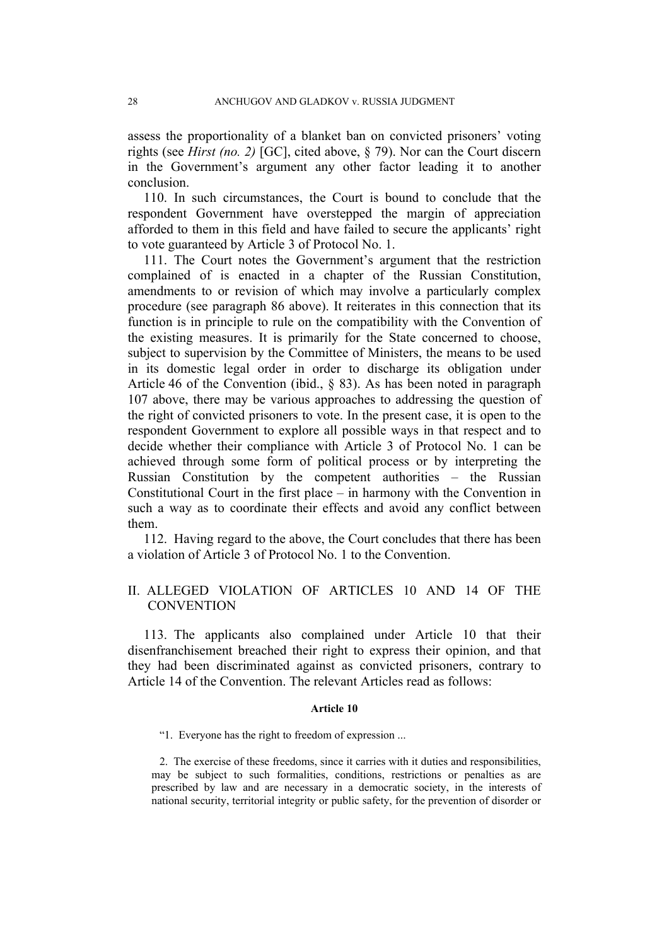assess the proportionality of a blanket ban on convicted prisoners' voting rights (see *Hirst (no. 2)* [GC], cited above, § 79). Nor can the Court discern in the Government's argument any other factor leading it to another conclusion.

110. In such circumstances, the Court is bound to conclude that the respondent Government have overstepped the margin of appreciation afforded to them in this field and have failed to secure the applicants' right to vote guaranteed by Article 3 of Protocol No. 1.

111. The Court notes the Government's argument that the restriction complained of is enacted in a chapter of the Russian Constitution, amendments to or revision of which may involve a particularly complex procedure (see paragraph [86](#page-21-1) above). It reiterates in this connection that its function is in principle to rule on the compatibility with the Convention of the existing measures. It is primarily for the State concerned to choose, subject to supervision by the Committee of Ministers, the means to be used in its domestic legal order in order to discharge its obligation under Article 46 of the Convention (ibid., § 83). As has been noted in paragraph [107](#page-28-0) above, there may be various approaches to addressing the question of the right of convicted prisoners to vote. In the present case, it is open to the respondent Government to explore all possible ways in that respect and to decide whether their compliance with Article 3 of Protocol No. 1 can be achieved through some form of political process or by interpreting the Russian Constitution by the competent authorities – the Russian Constitutional Court in the first place – in harmony with the Convention in such a way as to coordinate their effects and avoid any conflict between them.

<span id="page-29-0"></span>112. Having regard to the above, the Court concludes that there has been a violation of Article 3 of Protocol No. 1 to the Convention.

# II. ALLEGED VIOLATION OF ARTICLES 10 AND 14 OF THE **CONVENTION**

113. The applicants also complained under Article 10 that their disenfranchisement breached their right to express their opinion, and that they had been discriminated against as convicted prisoners, contrary to Article 14 of the Convention. The relevant Articles read as follows:

#### **Article 10**

"1. Everyone has the right to freedom of expression ...

2. The exercise of these freedoms, since it carries with it duties and responsibilities, may be subject to such formalities, conditions, restrictions or penalties as are prescribed by law and are necessary in a democratic society, in the interests of national security, territorial integrity or public safety, for the prevention of disorder or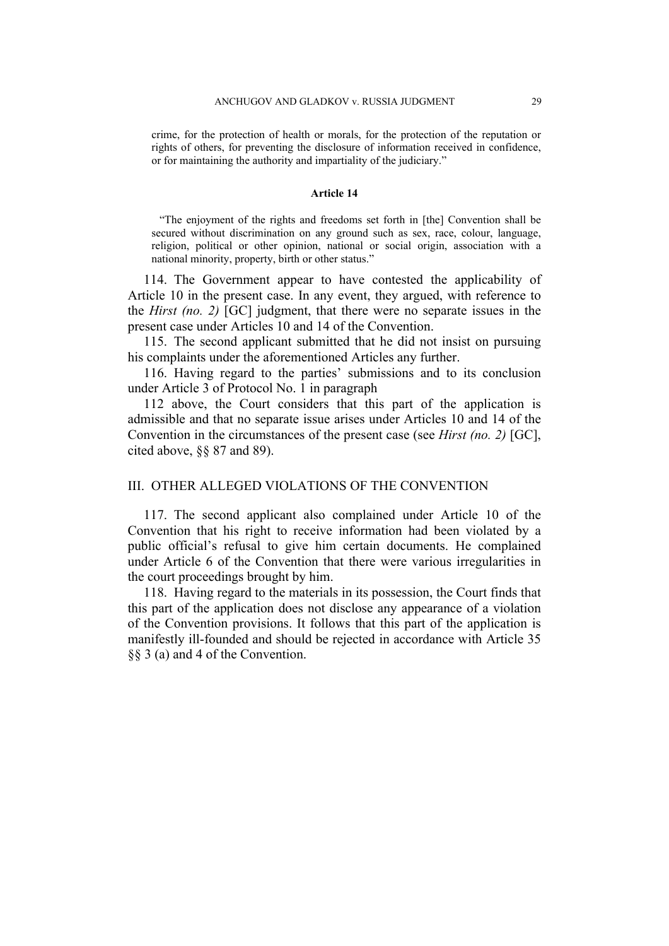crime, for the protection of health or morals, for the protection of the reputation or rights of others, for preventing the disclosure of information received in confidence, or for maintaining the authority and impartiality of the judiciary."

#### **Article 14**

"The enjoyment of the rights and freedoms set forth in [the] Convention shall be secured without discrimination on any ground such as sex, race, colour, language, religion, political or other opinion, national or social origin, association with a national minority, property, birth or other status."

114. The Government appear to have contested the applicability of Article 10 in the present case. In any event, they argued, with reference to the *Hirst (no. 2)* [GC] judgment, that there were no separate issues in the present case under Articles 10 and 14 of the Convention.

115. The second applicant submitted that he did not insist on pursuing his complaints under the aforementioned Articles any further.

116. Having regard to the parties' submissions and to its conclusion under Article 3 of Protocol No. 1 in paragraph

[112](#page-29-0) above, the Court considers that this part of the application is admissible and that no separate issue arises under Articles 10 and 14 of the Convention in the circumstances of the present case (see *Hirst (no. 2)* [GC], cited above, §§ 87 and 89).

## III. OTHER ALLEGED VIOLATIONS OF THE CONVENTION

117. The second applicant also complained under Article 10 of the Convention that his right to receive information had been violated by a public official's refusal to give him certain documents. He complained under Article 6 of the Convention that there were various irregularities in the court proceedings brought by him.

118. Having regard to the materials in its possession, the Court finds that this part of the application does not disclose any appearance of a violation of the Convention provisions. It follows that this part of the application is manifestly ill-founded and should be rejected in accordance with Article 35 §§ 3 (a) and 4 of the Convention.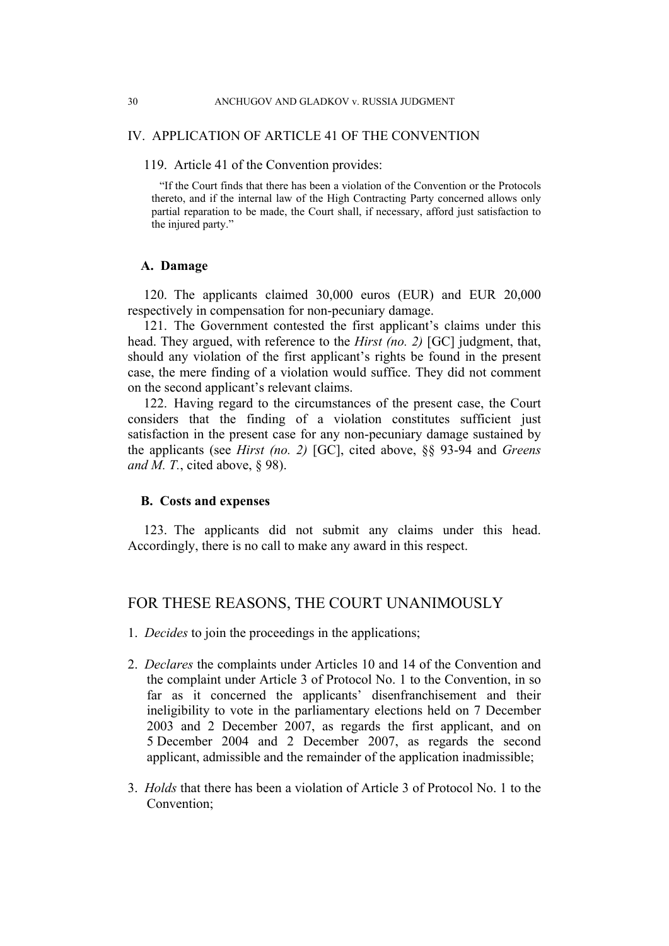#### IV. APPLICATION OF ARTICLE 41 OF THE CONVENTION

#### 119. Article 41 of the Convention provides:

"If the Court finds that there has been a violation of the Convention or the Protocols thereto, and if the internal law of the High Contracting Party concerned allows only partial reparation to be made, the Court shall, if necessary, afford just satisfaction to the injured party."

### **A. Damage**

120. The applicants claimed 30,000 euros (EUR) and EUR 20,000 respectively in compensation for non-pecuniary damage.

121. The Government contested the first applicant's claims under this head. They argued, with reference to the *Hirst (no. 2)* [GC] judgment, that, should any violation of the first applicant's rights be found in the present case, the mere finding of a violation would suffice. They did not comment on the second applicant's relevant claims.

122. Having regard to the circumstances of the present case, the Court considers that the finding of a violation constitutes sufficient just satisfaction in the present case for any non-pecuniary damage sustained by the applicants (see *Hirst (no. 2)* [GC], cited above, §§ 93-94 and *Greens and M. T.*, cited above, § 98).

## **B. Costs and expenses**

123. The applicants did not submit any claims under this head. Accordingly, there is no call to make any award in this respect.

# FOR THESE REASONS, THE COURT UNANIMOUSLY

- 1. *Decides* to join the proceedings in the applications;
- 2. *Declares* the complaints under Articles 10 and 14 of the Convention and the complaint under Article 3 of Protocol No. 1 to the Convention, in so far as it concerned the applicants' disenfranchisement and their ineligibility to vote in the parliamentary elections held on 7 December 2003 and 2 December 2007, as regards the first applicant, and on 5 December 2004 and 2 December 2007, as regards the second applicant, admissible and the remainder of the application inadmissible;
- 3. *Holds* that there has been a violation of Article 3 of Protocol No. 1 to the Convention;